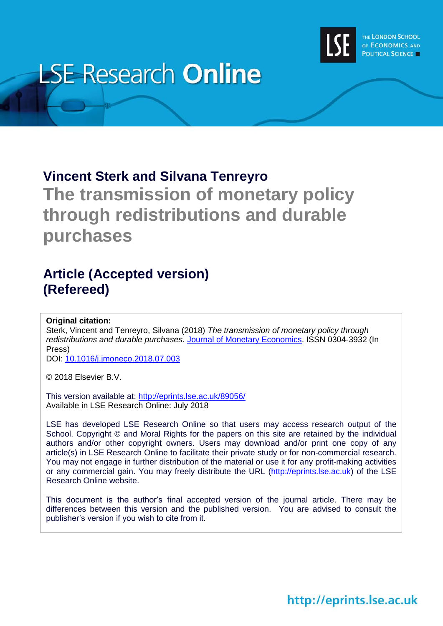

# **LSE Research Online**

## **Vincent Sterk and Silvana Tenreyro**

**The transmission of monetary policy through redistributions and durable purchases**

## **Article (Accepted version) (Refereed)**

#### **Original citation:**

Sterk, Vincent and Tenreyro, Silvana (2018) *The transmission of monetary policy through redistributions and durable purchases*. [Journal of Monetary Economics.](https://www.sciencedirect.com/journal/journal-of-monetary-economics) ISSN 0304-3932 (In Press)

DOI: [10.1016/j.jmoneco.2018.07.003](http://doi.org/10.1016/j.jmoneco.2018.07.003)

© 2018 Elsevier B.V.

This version available at:<http://eprints.lse.ac.uk/89056/> Available in LSE Research Online: July 2018

LSE has developed LSE Research Online so that users may access research output of the School. Copyright © and Moral Rights for the papers on this site are retained by the individual authors and/or other copyright owners. Users may download and/or print one copy of any article(s) in LSE Research Online to facilitate their private study or for non-commercial research. You may not engage in further distribution of the material or use it for any profit-making activities or any commercial gain. You may freely distribute the URL (http://eprints.lse.ac.uk) of the LSE Research Online website.

This document is the author's final accepted version of the journal article. There may be differences between this version and the published version. You are advised to consult the publisher's version if you wish to cite from it.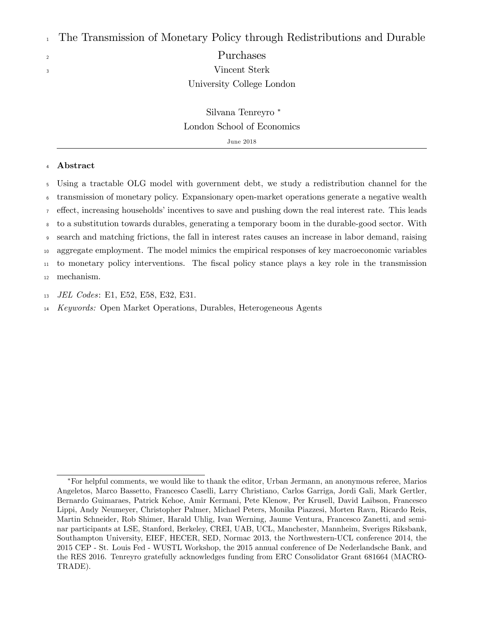<sup>1</sup> The Transmission of Monetary Policy through Redistributions and Durable <sup>2</sup> Vincent Sterk University College London 3

> Silvana Tenreyro London School of Economics

June 2018

#### <sup>4</sup> Abstract

 Using a tractable OLG model with government debt, we study a redistribution channel for the transmission of monetary policy. Expansionary open-market operations generate a negative wealth  $\tau$  effect, increasing households' incentives to save and pushing down the real interest rate. This leads to a substitution towards durables, generating a temporary boom in the durable-good sector. With search and matching frictions, the fall in interest rates causes an increase in labor demand, raising aggregate employment. The model mimics the empirical responses of key macroeconomic variables to monetary policy interventions. The Öscal policy stance plays a key role in the transmission mechanism.

<sup>13</sup> JEL Codes: E1, E52, E58, E32, E31.

<sup>14</sup> Keywords: Open Market Operations, Durables, Heterogeneous Agents

For helpful comments, we would like to thank the editor, Urban Jermann, an anonymous referee, Marios Angeletos, Marco Bassetto, Francesco Caselli, Larry Christiano, Carlos Garriga, Jordi Gali, Mark Gertler, Bernardo Guimaraes, Patrick Kehoe, Amir Kermani, Pete Klenow, Per Krusell, David Laibson, Francesco Lippi, Andy Neumeyer, Christopher Palmer, Michael Peters, Monika Piazzesi, Morten Ravn, Ricardo Reis, Martin Schneider, Rob Shimer, Harald Uhlig, Ivan Werning, Jaume Ventura, Francesco Zanetti, and seminar participants at LSE, Stanford, Berkeley, CREI, UAB, UCL, Manchester, Mannheim, Sveriges Riksbank, Southampton University, EIEF, HECER, SED, Normac 2013, the Northwestern-UCL conference 2014, the 2015 CEP - St. Louis Fed - WUSTL Workshop, the 2015 annual conference of De Nederlandsche Bank, and the RES 2016. Tenreyro gratefully acknowledges funding from ERC Consolidator Grant 681664 (MACRO-TRADE).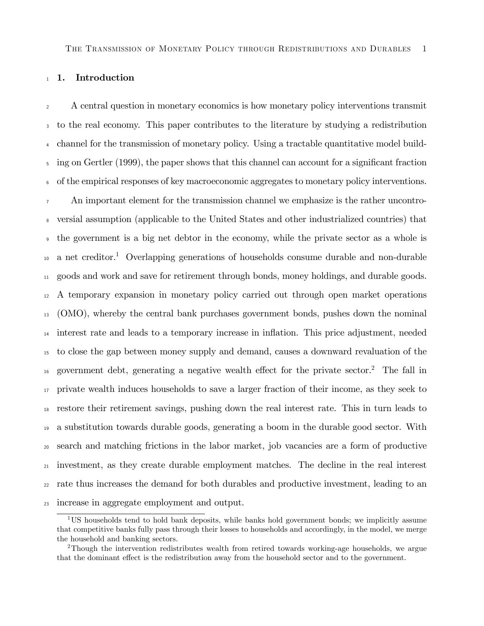#### 1. Introduction

 A central question in monetary economics is how monetary policy interventions transmit to the real economy. This paper contributes to the literature by studying a redistribution channel for the transmission of monetary policy. Using a tractable quantitative model build- $\frac{1}{2}$  ing on Gertler (1999), the paper shows that this channel can account for a significant fraction of the empirical responses of key macroeconomic aggregates to monetary policy interventions. An important element for the transmission channel we emphasize is the rather uncontro- versial assumption (applicable to the United States and other industrialized countries) that the government is a big net debtor in the economy, while the private sector as a whole is <sup>10</sup> a net creditor.<sup>1</sup> Overlapping generations of households consume durable and non-durable goods and work and save for retirement through bonds, money holdings, and durable goods. A temporary expansion in monetary policy carried out through open market operations (OMO), whereby the central bank purchases government bonds, pushes down the nominal interest rate and leads to a temporary increase in ináation. This price adjustment, needed to close the gap between money supply and demand, causes a downward revaluation of the  $_{16}$  government debt, generating a negative wealth effect for the private sector.<sup>2</sup> The fall in private wealth induces households to save a larger fraction of their income, as they seek to restore their retirement savings, pushing down the real interest rate. This in turn leads to a substitution towards durable goods, generating a boom in the durable good sector. With search and matching frictions in the labor market, job vacancies are a form of productive investment, as they create durable employment matches. The decline in the real interest rate thus increases the demand for both durables and productive investment, leading to an increase in aggregate employment and output.

US households tend to hold bank deposits, while banks hold government bonds; we implicitly assume that competitive banks fully pass through their losses to households and accordingly, in the model, we merge the household and banking sectors.

<sup>&</sup>lt;sup>2</sup>Though the intervention redistributes wealth from retired towards working-age households, we argue that the dominant effect is the redistribution away from the household sector and to the government.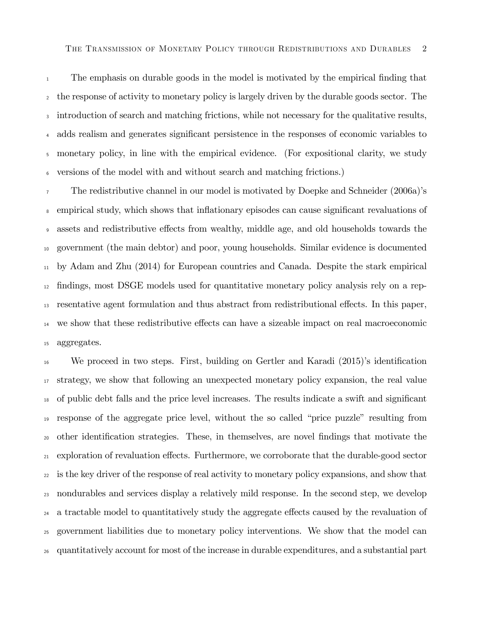<sup>1</sup> The emphasis on durable goods in the model is motivated by the empirical finding that <sup>2</sup> the response of activity to monetary policy is largely driven by the durable goods sector. The <sup>3</sup> introduction of search and matching frictions, while not necessary for the qualitative results, <sup>4</sup> adds realism and generates significant persistence in the responses of economic variables to <sup>5</sup> monetary policy, in line with the empirical evidence. (For expositional clarity, we study <sup>6</sup> versions of the model with and without search and matching frictions.)

<sup>7</sup> The redistributive channel in our model is motivated by Doepke and Schneider (2006a)'s 8 empirical study, which shows that inflationary episodes can cause significant revaluations of 9 assets and redistributive effects from wealthy, middle age, and old households towards the <sup>10</sup> government (the main debtor) and poor, young households. Similar evidence is documented <sup>11</sup> by Adam and Zhu (2014) for European countries and Canada. Despite the stark empirical <sup>12</sup> Öndings, most DSGE models used for quantitative monetary policy analysis rely on a rep-<sup>13</sup> resentative agent formulation and thus abstract from redistributional effects. In this paper,  $14$  we show that these redistributive effects can have a sizeable impact on real macroeconomic <sup>15</sup> aggregates.

 We proceed in two steps. First, building on Gertler and Karadi (2015)'s identification strategy, we show that following an unexpected monetary policy expansion, the real value <sup>18</sup> of public debt falls and the price level increases. The results indicate a swift and significant  $_{19}$  response of the aggregate price level, without the so called "price puzzle" resulting from other identiÖcation strategies. These, in themselves, are novel Öndings that motivate the  $_{21}$  exploration of revaluation effects. Furthermore, we corroborate that the durable-good sector is the key driver of the response of real activity to monetary policy expansions, and show that nondurables and services display a relatively mild response. In the second step, we develop a tractable model to quantitatively study the aggregate effects caused by the revaluation of government liabilities due to monetary policy interventions. We show that the model can quantitatively account for most of the increase in durable expenditures, and a substantial part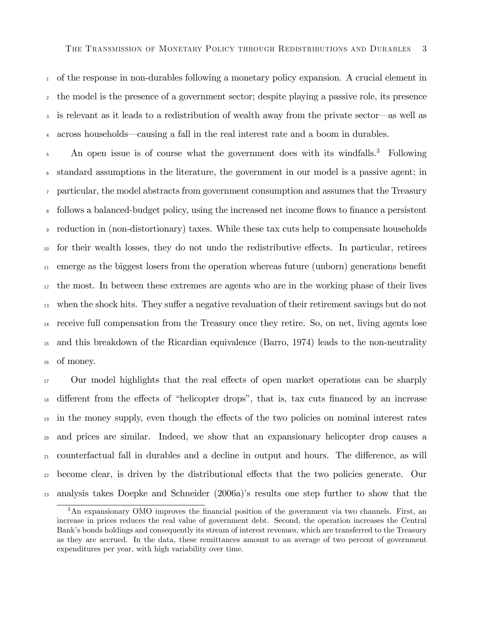<sup>1</sup> of the response in non-durables following a monetary policy expansion. A crucial element in <sup>2</sup> the model is the presence of a government sector; despite playing a passive role, its presence <sup>3</sup> is relevant as it leads to a redistribution of wealth away from the private sector—as well as 4 across households—causing a fall in the real interest rate and a boom in durables.

<sup>5</sup> An open issue is of course what the government does with its windfalls.<sup>3</sup> Following <sup>6</sup> standard assumptions in the literature, the government in our model is a passive agent; in <sup>7</sup> particular, the model abstracts from government consumption and assumes that the Treasury <sup>8</sup> follows a balanced-budget policy, using the increased net income flows to finance a persistent <sup>9</sup> reduction in (non-distortionary) taxes. While these tax cuts help to compensate households <sup>10</sup> for their wealth losses, they do not undo the redistributive effects. In particular, retirees  $_{11}$  emerge as the biggest losers from the operation whereas future (unborn) generations benefit <sup>12</sup> the most. In between these extremes are agents who are in the working phase of their lives <sup>13</sup> when the shock hits. They suffer a negative revaluation of their retirement savings but do not <sup>14</sup> receive full compensation from the Treasury once they retire. So, on net, living agents lose <sup>15</sup> and this breakdown of the Ricardian equivalence (Barro, 1974) leads to the non-neutrality <sup>16</sup> of money.

<sup>17</sup> Our model highlights that the real effects of open market operations can be sharply <sup>18</sup> different from the effects of "helicopter drops", that is, tax cuts financed by an increase <sup>19</sup> in the money supply, even though the effects of the two policies on nominal interest rates <sup>20</sup> and prices are similar. Indeed, we show that an expansionary helicopter drop causes a <sub>21</sub> counterfactual fall in durables and a decline in output and hours. The difference, as will <sub>22</sub> become clear, is driven by the distributional effects that the two policies generate. Our <sup>23</sup> analysis takes Doepke and Schneider (2006a)ís results one step further to show that the

<sup>&</sup>lt;sup>3</sup>An expansionary OMO improves the financial position of the government via two channels. First, an increase in prices reduces the real value of government debt. Second, the operation increases the Central Bank's bonds holdings and consequently its stream of interest revenues, which are transferred to the Treasury as they are accrued. In the data, these remittances amount to an average of two percent of government expenditures per year, with high variability over time.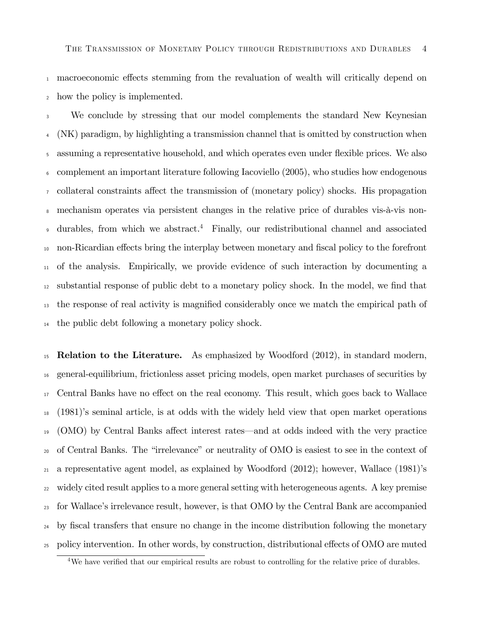<sup>1</sup> macroeconomic effects stemming from the revaluation of wealth will critically depend on <sup>2</sup> how the policy is implemented.

<sup>3</sup> We conclude by stressing that our model complements the standard New Keynesian <sup>4</sup> (NK) paradigm, by highlighting a transmission channel that is omitted by construction when 5 assuming a representative household, and which operates even under flexible prices. We also <sup>6</sup> complement an important literature following Iacoviello (2005), who studies how endogenous  $\sigma$  collateral constraints affect the transmission of (monetary policy) shocks. His propagation 8 mechanism operates via persistent changes in the relative price of durables vis- $\hat{a}$ -vis non-<sup>9</sup> durables, from which we abstract.<sup>4</sup> Finally, our redistributional channel and associated <sup>10</sup> non-Ricardian effects bring the interplay between monetary and fiscal policy to the forefront <sup>11</sup> of the analysis. Empirically, we provide evidence of such interaction by documenting a <sup>12</sup> substantial response of public debt to a monetary policy shock. In the model, we Önd that <sup>13</sup> the response of real activity is magnified considerably once we match the empirical path of <sup>14</sup> the public debt following a monetary policy shock.

<sup>15</sup> Relation to the Literature. As emphasized by Woodford (2012), in standard modern, <sup>16</sup> general-equilibrium, frictionless asset pricing models, open market purchases of securities by  $_{17}$  Central Banks have no effect on the real economy. This result, which goes back to Wallace <sup>18</sup> (1981)ís seminal article, is at odds with the widely held view that open market operations  $_{19}$  (OMO) by Central Banks affect interest rates—and at odds indeed with the very practice <sub>20</sub> of Central Banks. The "irrelevance" or neutrality of OMO is easiest to see in the context of  $_{21}$  a representative agent model, as explained by Woodford (2012); however, Wallace (1981)'s <sup>22</sup> widely cited result applies to a more general setting with heterogeneous agents. A key premise <sup>23</sup> for Wallaceís irrelevance result, however, is that OMO by the Central Bank are accompanied <sup>24</sup> by fiscal transfers that ensure no change in the income distribution following the monetary <sup>25</sup> policy intervention. In other words, by construction, distributional effects of OMO are muted

<sup>&</sup>lt;sup>4</sup>We have verified that our empirical results are robust to controlling for the relative price of durables.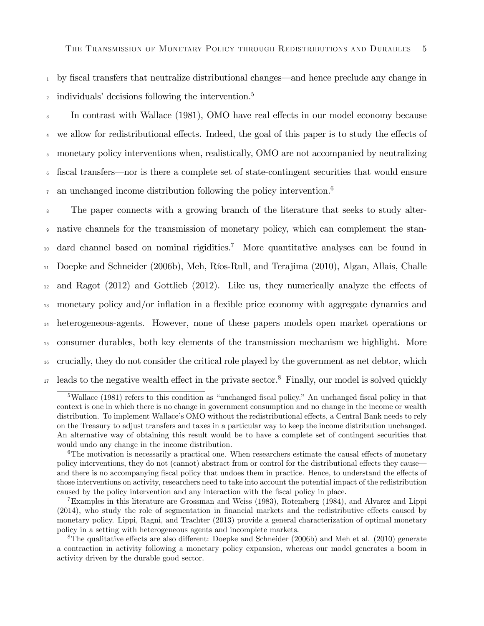$_1$  by fiscal transfers that neutralize distributional changes—and hence preclude any change in individuals' decisions following the intervention.<sup>5</sup> 2

<sup>3</sup> In contrast with Wallace (1981), OMO have real effects in our model economy because <sup>4</sup> we allow for redistributional effects. Indeed, the goal of this paper is to study the effects of <sup>5</sup> monetary policy interventions when, realistically, OMO are not accompanied by neutralizing  $6$  fiscal transfers—nor is there a complete set of state-contingent securities that would ensure an unchanged income distribution following the policy intervention. $6$ 7

 The paper connects with a growing branch of the literature that seeks to study alter- native channels for the transmission of monetary policy, which can complement the stan- $\alpha$  dard channel based on nominal rigidities.<sup>7</sup> More quantitative analyses can be found in Doepke and Schneider (2006b), Meh, RÌos-Rull, and Terajima (2010), Algan, Allais, Challe  $_{12}$  and Ragot (2012) and Gottlieb (2012). Like us, they numerically analyze the effects of monetary policy and/or ináation in a áexible price economy with aggregate dynamics and heterogeneous-agents. However, none of these papers models open market operations or consumer durables, both key elements of the transmission mechanism we highlight. More crucially, they do not consider the critical role played by the government as net debtor, which  $_{17}$  leads to the negative wealth effect in the private sector.<sup>8</sup> Finally, our model is solved quickly

 $5$ Wallace (1981) refers to this condition as "unchanged fiscal policy." An unchanged fiscal policy in that context is one in which there is no change in government consumption and no change in the income or wealth distribution. To implement Wallace's OMO without the redistributional effects, a Central Bank needs to rely on the Treasury to adjust transfers and taxes in a particular way to keep the income distribution unchanged. An alternative way of obtaining this result would be to have a complete set of contingent securities that would undo any change in the income distribution.

 $6$ The motivation is necessarily a practical one. When researchers estimate the causal effects of monetary policy interventions, they do not (cannot) abstract from or control for the distributional effects they cause and there is no accompanying fiscal policy that undoes them in practice. Hence, to understand the effects of those interventions on activity, researchers need to take into account the potential impact of the redistribution caused by the policy intervention and any interaction with the Öscal policy in place.

<sup>7</sup>Examples in this literature are Grossman and Weiss (1983), Rotemberg (1984), and Alvarez and Lippi  $(2014)$ , who study the role of segmentation in financial markets and the redistributive effects caused by monetary policy. Lippi, Ragni, and Trachter (2013) provide a general characterization of optimal monetary policy in a setting with heterogeneous agents and incomplete markets.

 $8$ The qualitative effects are also different: Doepke and Schneider (2006b) and Meh et al. (2010) generate a contraction in activity following a monetary policy expansion, whereas our model generates a boom in activity driven by the durable good sector.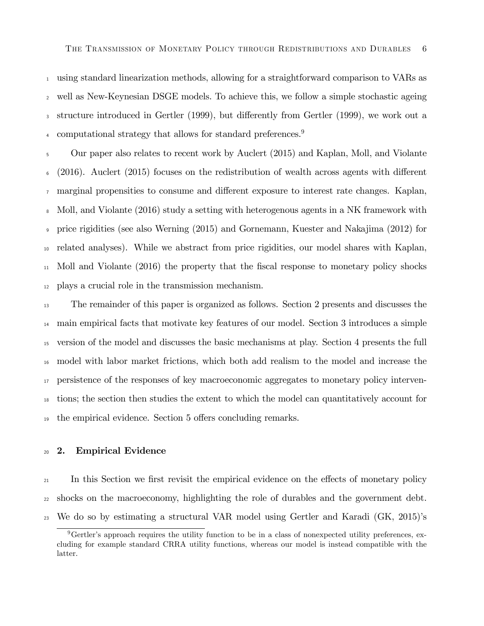using standard linearization methods, allowing for a straightforward comparison to VARs as well as New-Keynesian DSGE models. To achieve this, we follow a simple stochastic ageing <sup>3</sup> structure introduced in Gertler (1999), but differently from Gertler (1999), we work out a computational strategy that allows for standard preferences.<sup>9</sup> 

 Our paper also relates to recent work by Auclert (2015) and Kaplan, Moll, and Violante  $6\,(2016)$ . Auclert (2015) focuses on the redistribution of wealth across agents with different <sup>7</sup> marginal propensities to consume and different exposure to interest rate changes. Kaplan, Moll, and Violante (2016) study a setting with heterogenous agents in a NK framework with price rigidities (see also Werning (2015) and Gornemann, Kuester and Nakajima (2012) for related analyses). While we abstract from price rigidities, our model shares with Kaplan, Moll and Violante (2016) the property that the Öscal response to monetary policy shocks plays a crucial role in the transmission mechanism.

 The remainder of this paper is organized as follows. Section 2 presents and discusses the main empirical facts that motivate key features of our model. Section 3 introduces a simple version of the model and discusses the basic mechanisms at play. Section 4 presents the full model with labor market frictions, which both add realism to the model and increase the persistence of the responses of key macroeconomic aggregates to monetary policy interven- tions; the section then studies the extent to which the model can quantitatively account for  $_{19}$  the empirical evidence. Section 5 offers concluding remarks.

#### 2. Empirical Evidence

<sub>21</sub> In this Section we first revisit the empirical evidence on the effects of monetary policy shocks on the macroeconomy, highlighting the role of durables and the government debt. We do so by estimating a structural VAR model using Gertler and Karadi (GK, 2015)ís

Gertler's approach requires the utility function to be in a class of nonexpected utility preferences, excluding for example standard CRRA utility functions, whereas our model is instead compatible with the latter.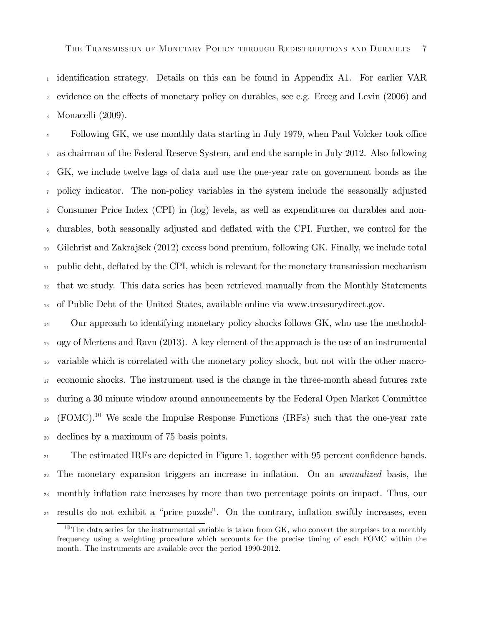<sup>1</sup> identification strategy. Details on this can be found in Appendix A1. For earlier VAR  $\alpha$  evidence on the effects of monetary policy on durables, see e.g. Erceg and Levin (2006) and Monacelli (2009).

 $\frac{4}{4}$  Following GK, we use monthly data starting in July 1979, when Paul Volcker took office as chairman of the Federal Reserve System, and end the sample in July 2012. Also following GK, we include twelve lags of data and use the one-year rate on government bonds as the policy indicator. The non-policy variables in the system include the seasonally adjusted Consumer Price Index (CPI) in (log) levels, as well as expenditures on durables and non- durables, both seasonally adjusted and deáated with the CPI. Further, we control for the Gilchrist and Zakrajöek (2012) excess bond premium, following GK. Finally, we include total public debt, deáated by the CPI, which is relevant for the monetary transmission mechanism that we study. This data series has been retrieved manually from the Monthly Statements of Public Debt of the United States, available online via www.treasurydirect.gov.

 Our approach to identifying monetary policy shocks follows GK, who use the methodol- ogy of Mertens and Ravn (2013). A key element of the approach is the use of an instrumental variable which is correlated with the monetary policy shock, but not with the other macro- economic shocks. The instrument used is the change in the three-month ahead futures rate during a 30 minute window around announcements by the Federal Open Market Committee (FOMC). <sup>10</sup> We scale the Impulse Response Functions (IRFs) such that the one-year rate declines by a maximum of 75 basis points.

<sup>21</sup> The estimated IRFs are depicted in Figure 1, together with 95 percent confidence bands. The monetary expansion triggers an increase in ináation. On an annualized basis, the monthly ináation rate increases by more than two percentage points on impact. Thus, our  $_{24}$  results do not exhibit a "price puzzle". On the contrary, inflation swiftly increases, even

The data series for the instrumental variable is taken from GK, who convert the surprises to a monthly frequency using a weighting procedure which accounts for the precise timing of each FOMC within the month. The instruments are available over the period 1990-2012.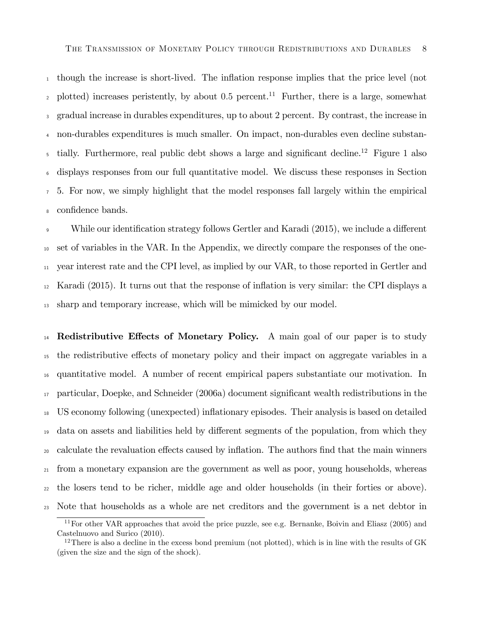$_1$  though the increase is short-lived. The inflation response implies that the price level (not plotted) increases peristently, by about  $0.5$  percent.<sup>11</sup> Further, there is a large, somewhat <sup>3</sup> gradual increase in durables expenditures, up to about 2 percent. By contrast, the increase in <sup>4</sup> non-durables expenditures is much smaller. On impact, non-durables even decline substan- $\frac{1}{2}$  tially. Furthermore, real public debt shows a large and significant decline.<sup>12</sup> Figure 1 also <sup>6</sup> displays responses from our full quantitative model. We discuss these responses in Section <sup>7</sup> 5. For now, we simply highlight that the model responses fall largely within the empirical 8 confidence bands.

9 While our identification strategy follows Gertler and Karadi (2015), we include a different <sup>10</sup> set of variables in the VAR. In the Appendix, we directly compare the responses of the one-<sup>11</sup> year interest rate and the CPI level, as implied by our VAR, to those reported in Gertler and  $_{12}$  Karadi (2015). It turns out that the response of inflation is very similar: the CPI displays a <sup>13</sup> sharp and temporary increase, which will be mimicked by our model.

 $_{14}$  Redistributive Effects of Monetary Policy. A main goal of our paper is to study <sup>15</sup> the redistributive effects of monetary policy and their impact on aggregate variables in a <sup>16</sup> quantitative model. A number of recent empirical papers substantiate our motivation. In  $17$  particular, Doepke, and Schneider (2006a) document significant wealth redistributions in the <sup>18</sup> US economy following (unexpected) ináationary episodes. Their analysis is based on detailed <sup>19</sup> data on assets and liabilities held by different segments of the population, from which they <sub>20</sub> calculate the revaluation effects caused by inflation. The authors find that the main winners <sup>21</sup> from a monetary expansion are the government as well as poor, young households, whereas <sup>22</sup> the losers tend to be richer, middle age and older households (in their forties or above). <sup>23</sup> Note that households as a whole are net creditors and the government is a net debtor in

<sup>11</sup>For other VAR approaches that avoid the price puzzle, see e.g. Bernanke, Boivin and Eliasz (2005) and Castelnuovo and Surico (2010).

<sup>&</sup>lt;sup>12</sup>There is also a decline in the excess bond premium (not plotted), which is in line with the results of GK (given the size and the sign of the shock).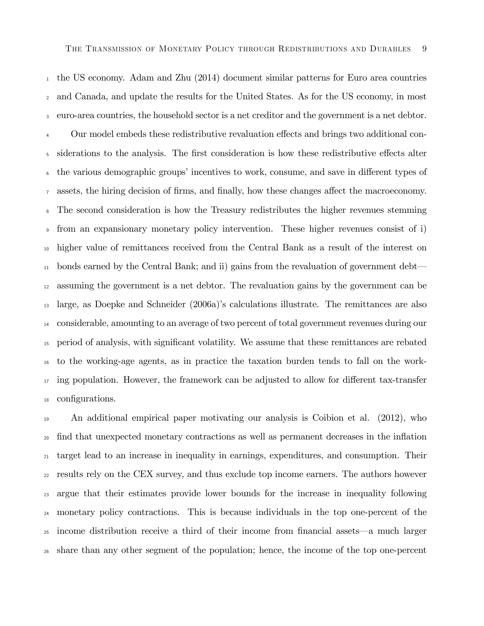the US economy. Adam and Zhu (2014) document similar patterns for Euro area countries and Canada, and update the results for the United States. As for the US economy, in most euro-area countries, the household sector is a net creditor and the government is a net debtor. <sup>4</sup> Our model embeds these redistributive revaluation effects and brings two additional con-5 siderations to the analysis. The first consideration is how these redistributive effects alter  $\epsilon$  the various demographic groups' incentives to work, consume, and save in different types of <sup>7</sup> assets, the hiring decision of firms, and finally, how these changes affect the macroeconomy. The second consideration is how the Treasury redistributes the higher revenues stemming from an expansionary monetary policy intervention. These higher revenues consist of i) higher value of remittances received from the Central Bank as a result of the interest on  $_{11}$  bonds earned by the Central Bank; and ii) gains from the revaluation of government debt— assuming the government is a net debtor. The revaluation gains by the government can be large, as Doepke and Schneider (2006a)ís calculations illustrate. The remittances are also considerable, amounting to an average of two percent of total government revenues during our period of analysis, with signiÖcant volatility. We assume that these remittances are rebated to the working-age agents, as in practice the taxation burden tends to fall on the work- $_{17}$  ing population. However, the framework can be adjusted to allow for different tax-transfer 18 configurations.

 An additional empirical paper motivating our analysis is Coibion et al. (2012), who Önd that unexpected monetary contractions as well as permanent decreases in the ináation target lead to an increase in inequality in earnings, expenditures, and consumption. Their results rely on the CEX survey, and thus exclude top income earners. The authors however argue that their estimates provide lower bounds for the increase in inequality following monetary policy contractions. This is because individuals in the top one-percent of the  $_{25}$  income distribution receive a third of their income from financial assets—a much larger share than any other segment of the population; hence, the income of the top one-percent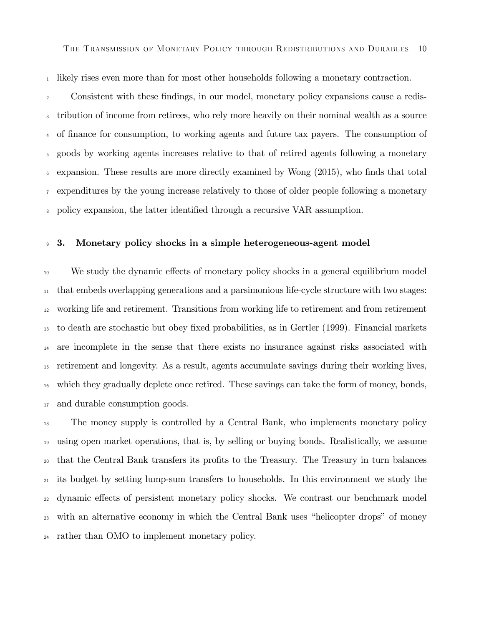likely rises even more than for most other households following a monetary contraction.

 Consistent with these Öndings, in our model, monetary policy expansions cause a redis- tribution of income from retirees, who rely more heavily on their nominal wealth as a source of Önance for consumption, to working agents and future tax payers. The consumption of goods by working agents increases relative to that of retired agents following a monetary  $\epsilon$  expansion. These results are more directly examined by Wong (2015), who finds that total expenditures by the young increase relatively to those of older people following a monetary policy expansion, the latter identiÖed through a recursive VAR assumption.

#### 3. Monetary policy shocks in a simple heterogeneous-agent model

<sup>10</sup> We study the dynamic effects of monetary policy shocks in a general equilibrium model that embeds overlapping generations and a parsimonious life-cycle structure with two stages: working life and retirement. Transitions from working life to retirement and from retirement to death are stochastic but obey Öxed probabilities, as in Gertler (1999). Financial markets are incomplete in the sense that there exists no insurance against risks associated with retirement and longevity. As a result, agents accumulate savings during their working lives, which they gradually deplete once retired. These savings can take the form of money, bonds, and durable consumption goods.

 The money supply is controlled by a Central Bank, who implements monetary policy using open market operations, that is, by selling or buying bonds. Realistically, we assume <sup>20</sup> that the Central Bank transfers its profits to the Treasury. The Treasury in turn balances its budget by setting lump-sum transfers to households. In this environment we study the <sup>22</sup> dynamic effects of persistent monetary policy shocks. We contrast our benchmark model <sup>23</sup> with an alternative economy in which the Central Bank uses "helicopter drops" of money rather than OMO to implement monetary policy.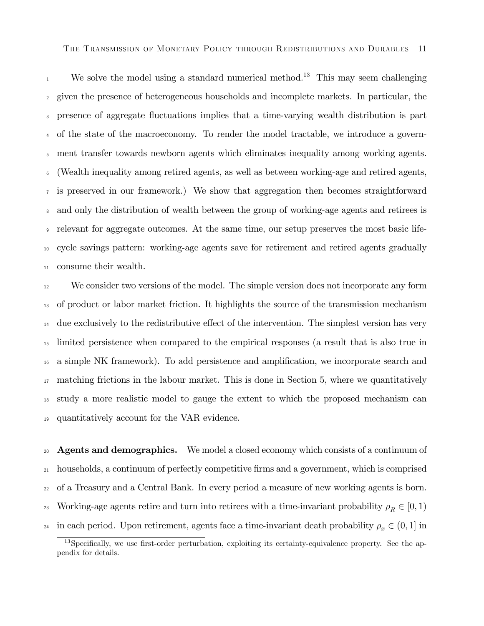<sup>1</sup> We solve the model using a standard numerical method.<sup>13</sup> This may seem challenging given the presence of heterogeneous households and incomplete markets. In particular, the <sup>3</sup> presence of aggregate fluctuations implies that a time-varying wealth distribution is part of the state of the macroeconomy. To render the model tractable, we introduce a govern- ment transfer towards newborn agents which eliminates inequality among working agents. (Wealth inequality among retired agents, as well as between working-age and retired agents, <sup>7</sup> is preserved in our framework.) We show that aggregation then becomes straightforward and only the distribution of wealth between the group of working-age agents and retirees is relevant for aggregate outcomes. At the same time, our setup preserves the most basic life- cycle savings pattern: working-age agents save for retirement and retired agents gradually consume their wealth.

 We consider two versions of the model. The simple version does not incorporate any form of product or labor market friction. It highlights the source of the transmission mechanism  $_{14}$  due exclusively to the redistributive effect of the intervention. The simplest version has very limited persistence when compared to the empirical responses (a result that is also true in a simple NK framework). To add persistence and ampliÖcation, we incorporate search and matching frictions in the labour market. This is done in Section 5, where we quantitatively study a more realistic model to gauge the extent to which the proposed mechanism can quantitatively account for the VAR evidence.

<sup>20</sup> Agents and demographics. We model a closed economy which consists of a continuum of households, a continuum of perfectly competitive Örms and a government, which is comprised of a Treasury and a Central Bank. In every period a measure of new working agents is born. 23 Working-age agents retire and turn into retirees with a time-invariant probability  $\rho_R \in [0, 1)$ <sup>24</sup> in each period. Upon retirement, agents face a time-invariant death probability  $\rho_x \in (0, 1]$  in

Specifically, we use first-order perturbation, exploiting its certainty-equivalence property. See the appendix for details.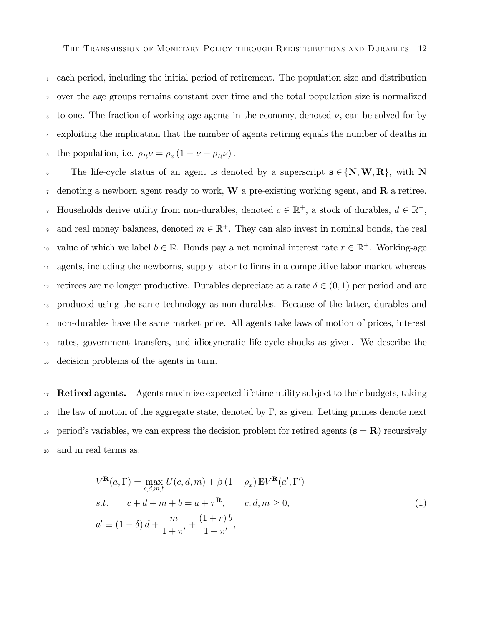<sup>1</sup> each period, including the initial period of retirement. The population size and distribution <sup>2</sup> over the age groups remains constant over time and the total population size is normalized  $\alpha$  to one. The fraction of working-age agents in the economy, denoted  $\nu$ , can be solved for by <sup>4</sup> exploiting the implication that the number of agents retiring equals the number of deaths in <sup>5</sup> the population, i.e.  $\rho_R \nu = \rho_x (1 - \nu + \rho_R \nu)$ .

6 The life-cycle status of an agent is denoted by a superscript  $s \in \{N, W, R\}$ , with N  $7 \text{$  denoting a newborn agent ready to work, W a pre-existing working agent, and R a retiree.} Bouseholds derive utility from non-durables, denoted  $c \in \mathbb{R}^+$ , a stock of durables,  $d \in \mathbb{R}^+$ , and real money balances, denoted  $m \in \mathbb{R}^+$ . They can also invest in nominal bonds, the real value of which we label  $b \in \mathbb{R}$ . Bonds pay a net nominal interest rate  $r \in \mathbb{R}^+$ . Working-age <sup>11</sup> agents, including the newborns, supply labor to firms in a competitive labor market whereas <sup>12</sup> retirees are no longer productive. Durables depreciate at a rate  $\delta \in (0,1)$  per period and are <sup>13</sup> produced using the same technology as non-durables. Because of the latter, durables and <sup>14</sup> non-durables have the same market price. All agents take laws of motion of prices, interest <sup>15</sup> rates, government transfers, and idiosyncratic life-cycle shocks as given. We describe the <sup>16</sup> decision problems of the agents in turn.

<sup>17</sup> Retired agents. Agents maximize expected lifetime utility subject to their budgets, taking <sup>18</sup> the law of motion of the aggregate state, denoted by  $\Gamma$ , as given. Letting primes denote next 19 period's variables, we can express the decision problem for retired agents  $({\bf s} = {\bf R})$  recursively <sup>20</sup> and in real terms as:

$$
V^{\mathbf{R}}(a,\Gamma) = \max_{c,d,m,b} U(c,d,m) + \beta (1 - \rho_x) \mathbb{E} V^{\mathbf{R}}(a',\Gamma')
$$
  
s.t.  $c + d + m + b = a + \tau^{\mathbf{R}}, \qquad c, d, m \ge 0,$   

$$
a' \equiv (1 - \delta) d + \frac{m}{1 + \pi'} + \frac{(1 + r) b}{1 + \pi'},
$$
 (1)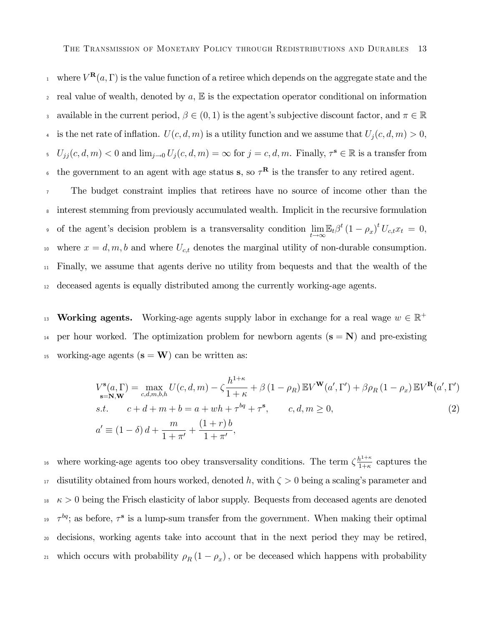<sup>1</sup> where  $V^{\mathbf{R}}(a,\Gamma)$  is the value function of a retiree which depends on the aggregate state and the <sup>2</sup> real value of wealth, denoted by a,  $\mathbb E$  is the expectation operator conditional on information 3 available in the current period,  $\beta \in (0,1)$  is the agent's subjective discount factor, and  $\pi \in \mathbb{R}$ <sup>4</sup> is the net rate of inflation.  $U(c, d, m)$  is a utility function and we assume that  $U_j(c, d, m) > 0$ ,  $U_{jj}(c, d, m) < 0$  and  $\lim_{j\to 0} U_j(c, d, m) = \infty$  for  $j = c, d, m$ . Finally,  $\tau^s \in \mathbb{R}$  is a transfer from the government to an agent with age status s, so  $\tau^{\mathbf{R}}$  is the transfer to any retired agent.

<sup>7</sup> The budget constraint implies that retirees have no source of income other than the <sup>8</sup> interest stemming from previously accumulated wealth. Implicit in the recursive formulation of the agent's decision problem is a transversality condition lim of the agent's decision problem is a transversality condition  $\lim_{t\to\infty} \mathbb{E}_t \beta^t (1-\rho_x)^t U_{c,t} x_t = 0$ , <sup>10</sup> where  $x = d, m, b$  and where  $U_{c,t}$  denotes the marginal utility of non-durable consumption. <sup>11</sup> Finally, we assume that agents derive no utility from bequests and that the wealth of the <sup>12</sup> deceased agents is equally distributed among the currently working-age agents.

13 **Working agents.** Working-age agents supply labor in exchange for a real wage  $w \in \mathbb{R}^+$ <sup>14</sup> per hour worked. The optimization problem for newborn agents  $(s = N)$  and pre-existing <sup>15</sup> working-age agents  $(s = W)$  can be written as:

$$
V^{\mathbf{s}}(a,\Gamma) = \max_{c,d,m,b,h} U(c,d,m) - \zeta \frac{h^{1+\kappa}}{1+\kappa} + \beta (1-\rho_R) \mathbb{E} V^{\mathbf{W}}(a',\Gamma') + \beta \rho_R (1-\rho_x) \mathbb{E} V^{\mathbf{R}}(a',\Gamma')
$$
  
s.t.  $c+d+m+b=a+wh+\tau^{bq}+\tau^{\mathbf{s}}, \qquad c,d,m \ge 0,$   

$$
a' \equiv (1-\delta) d + \frac{m}{1+\pi'} + \frac{(1+r)b}{1+\pi'},
$$
 (2)

where working-age agents too obey transversality conditions. The term  $\zeta_{\frac{1+\kappa}{1+\kappa}}^{h^{1+\kappa}}$ <sup>16</sup> where working-age agents too obey transversality conditions. The term  $\zeta_{1+\kappa}^{h^{1+\kappa}}$  captures the <sup>17</sup> disutility obtained from hours worked, denoted h, with  $\zeta > 0$  being a scaling's parameter and  $18 \kappa > 0$  being the Frisch elasticity of labor supply. Bequests from deceased agents are denoted <sup>19</sup>  $\tau^{bq}$ ; as before,  $\tau^{s}$  is a lump-sum transfer from the government. When making their optimal <sup>20</sup> decisions, working agents take into account that in the next period they may be retired, <sup>21</sup> which occurs with probability  $\rho_R (1 - \rho_x)$ , or be deceased which happens with probability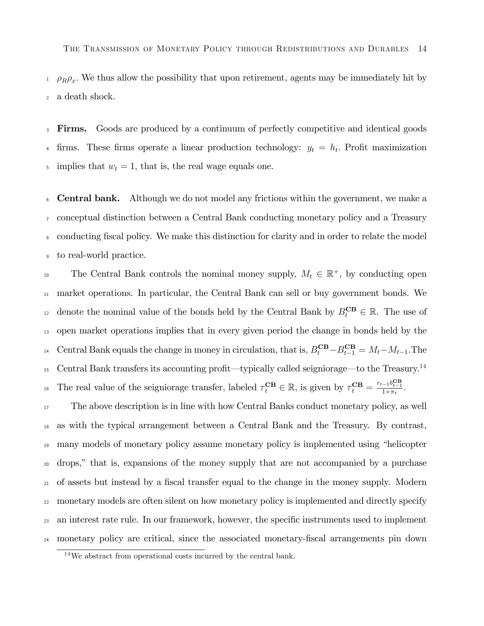$\mu_1$   $\rho_R \rho_x$ . We thus allow the possibility that upon retirement, agents may be immediately hit by <sup>2</sup> a death shock.

<sup>3</sup> Firms. Goods are produced by a continuum of perfectly competitive and identical goods 4 firms. These firms operate a linear production technology:  $y_t = h_t$ . Profit maximization <sup>5</sup> implies that  $w_t = 1$ , that is, the real wage equals one.

 $\epsilon$  **Central bank.** Although we do not model any frictions within the government, we make a conceptual distinction between a Central Bank conducting monetary policy and a Treasury conducting Öscal policy. We make this distinction for clarity and in order to relate the model to real-world practice.

10 The Central Bank controls the nominal money supply,  $M_t \in \mathbb{R}^+$ , by conducting open <sup>11</sup> market operations. In particular, the Central Bank can sell or buy government bonds. We <sup>12</sup> denote the nominal value of the bonds held by the Central Bank by  $B_t^{\text{CB}} \in \mathbb{R}$ . The use of <sup>13</sup> open market operations implies that in every given period the change in bonds held by the <sup>14</sup> Central Bank equals the change in money in circulation, that is,  $B_t^{\text{CB}} - B_{t-1}^{\text{CB}} = M_t - M_{t-1}$ . The Central Bank transfers its accounting profit—typically called seigniorage—to the Treasury.<sup>14</sup> 15 16 The real value of the seigniorage transfer, labeled  $\tau_t^{\mathbf{CB}} \in \mathbb{R}$ , is given by  $\tau_t^{\mathbf{CB}} = \frac{r_{t-1}b_{t-1}^{\mathbf{CB}}}{1+\pi_t}$ .

 The above description is in line with how Central Banks conduct monetary policy, as well as with the typical arrangement between a Central Bank and the Treasury. By contrast, <sup>19</sup> many models of monetary policy assume monetary policy is implemented using "helicopter drops,î that is, expansions of the money supply that are not accompanied by a purchase of assets but instead by a Öscal transfer equal to the change in the money supply. Modern monetary models are often silent on how monetary policy is implemented and directly specify <sup>23</sup> an interest rate rule. In our framework, however, the specific instruments used to implement monetary policy are critical, since the associated monetary-Öscal arrangements pin down

<sup>14</sup>We abstract from operational costs incurred by the central bank.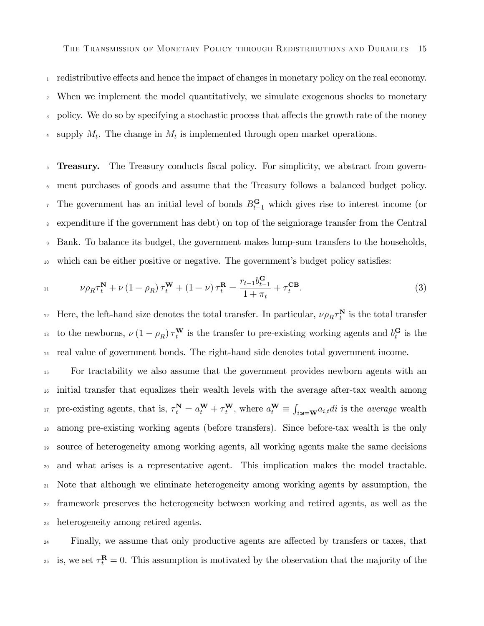$\mu$  redistributive effects and hence the impact of changes in monetary policy on the real economy. <sup>2</sup> When we implement the model quantitatively, we simulate exogenous shocks to monetary <sup>3</sup> policy. We do so by specifying a stochastic process that affects the growth rate of the money <sup>4</sup> supply  $M_t$ . The change in  $M_t$  is implemented through open market operations.

5 Treasury. The Treasury conducts fiscal policy. For simplicity, we abstract from govern-<sup>6</sup> ment purchases of goods and assume that the Treasury follows a balanced budget policy. The government has an initial level of bonds  $B_{t-1}^{\mathbf{G}}$  which gives rise to interest income (or <sup>8</sup> expenditure if the government has debt) on top of the seigniorage transfer from the Central <sup>9</sup> Bank. To balance its budget, the government makes lump-sum transfers to the households, <sup>10</sup> which can be either positive or negative. The government's budget policy satisfies:

$$
\nu \rho_R \tau_t^{\mathbf{N}} + \nu \left( 1 - \rho_R \right) \tau_t^{\mathbf{W}} + \left( 1 - \nu \right) \tau_t^{\mathbf{R}} = \frac{r_{t-1} b_{t-1}^{\mathbf{G}}}{1 + \pi_t} + \tau_t^{\mathbf{CB}}.
$$
\n
$$
\tag{3}
$$

<sup>12</sup> Here, the left-hand size denotes the total transfer. In particular,  $\nu \rho_R \tau_t^N$  is the total transfer to the newborns,  $\nu (1 - \rho_R) \tau_t^{\mathbf{W}}$  is the transfer to pre-existing working agents and  $b_t^{\mathbf{G}}$  is the <sup>14</sup> real value of government bonds. The right-hand side denotes total government income.

 For tractability we also assume that the government provides newborn agents with an initial transfer that equalizes their wealth levels with the average after-tax wealth among <sup>17</sup> pre-existing agents, that is,  $\tau_t^N = a_t^W + \tau_t^W$ , where  $a_t^W \equiv \int_{i:s=W} a_{i,t}di$  is the *average* wealth among pre-existing working agents (before transfers). Since before-tax wealth is the only source of heterogeneity among working agents, all working agents make the same decisions and what arises is a representative agent. This implication makes the model tractable. Note that although we eliminate heterogeneity among working agents by assumption, the framework preserves the heterogeneity between working and retired agents, as well as the heterogeneity among retired agents.

<sup>24</sup> Finally, we assume that only productive agents are affected by transfers or taxes, that <sup>25</sup> is, we set  $\tau_t^{\mathbf{R}} = 0$ . This assumption is motivated by the observation that the majority of the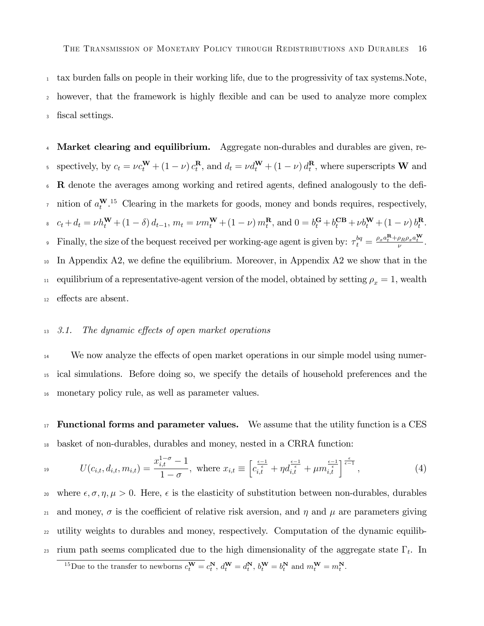<sup>1</sup> tax burden falls on people in their working life, due to the progressivity of tax systems.Note, <sup>2</sup> however, that the framework is highly flexible and can be used to analyze more complex <sup>3</sup> fiscal settings.

<sup>4</sup> Market clearing and equilibrium. Aggregate non-durables and durables are given, res spectively, by  $c_t = \nu c_t^{\mathbf{W}} + (1 - \nu) c_t^{\mathbf{R}}$ , and  $d_t = \nu d_t^{\mathbf{W}} + (1 - \nu) d_t^{\mathbf{R}}$ , where superscripts **W** and  $\epsilon$  R denote the averages among working and retired agents, defined analogously to the defi-<sup>7</sup> nition of  $a_t^{\mathbf{W},15}$  Clearing in the markets for goods, money and bonds requires, respectively,  $c_t + d_t = \nu h_t^{\mathbf{W}} + (1 - \delta) d_{t-1}, m_t = \nu m_t^{\mathbf{W}} + (1 - \nu) m_t^{\mathbf{R}}, \text{ and } 0 = b_t^{\mathbf{G}} + b_t^{\mathbf{CB}} + \nu b_t^{\mathbf{W}} + (1 - \nu) b_t^{\mathbf{R}}.$ Finally, the size of the bequest received per working-age agent is given by:  $\tau_t^{bq} = \frac{\rho_x a_t^R + \rho_R \rho_x a_t^W}{\nu}$ Finally, the size of the bequest received per working-age agent is given by:  $\tau_t^{pq} = \frac{\rho_x a_t^{r} + \rho_R \rho_x a_t^{r}}{\nu}$ .  $10$  In Appendix A2, we define the equilibrium. Moreover, in Appendix A2 we show that in the <sup>11</sup> equilibrium of a representative-agent version of the model, obtained by setting  $\rho_x = 1$ , wealth  $_{12}$  effects are absent.

#### $13$  3.1. The dynamic effects of open market operations

 $14$  We now analyze the effects of open market operations in our simple model using numer-<sup>15</sup> ical simulations. Before doing so, we specify the details of household preferences and the <sup>16</sup> monetary policy rule, as well as parameter values.

<sup>17</sup> Functional forms and parameter values. We assume that the utility function is a CES <sup>18</sup> basket of non-durables, durables and money, nested in a CRRA function:

$$
U(c_{i,t}, d_{i,t}, m_{i,t}) = \frac{x_{i,t}^{1-\sigma} - 1}{1 - \sigma}, \text{ where } x_{i,t} \equiv \left[c_{i,t}^{\frac{\epsilon - 1}{\epsilon}} + \eta d_{i,t}^{\frac{\epsilon - 1}{\epsilon}} + \mu m_{i,t}^{\frac{\epsilon - 1}{\epsilon}}\right]^{\frac{\epsilon}{\epsilon - 1}},\tag{4}
$$

20 where  $\epsilon, \sigma, \eta, \mu > 0$ . Here,  $\epsilon$  is the elasticity of substitution between non-durables, durables 21 and money,  $\sigma$  is the coefficient of relative risk aversion, and  $\eta$  and  $\mu$  are parameters giving <sup>22</sup> utility weights to durables and money, respectively. Computation of the dynamic equilib-23 rium path seems complicated due to the high dimensionality of the aggregate state  $\Gamma_t$ . In

<sup>&</sup>lt;sup>15</sup>Due to the transfer to newborns  $c_t^{\mathbf{W}} = c_t^{\mathbf{N}}, d_t^{\mathbf{W}} = d_t^{\mathbf{N}}, b_t^{\mathbf{W}} = b_t^{\mathbf{N}}$  and  $m_t^{\mathbf{W}} = m_t^{\mathbf{N}}$ .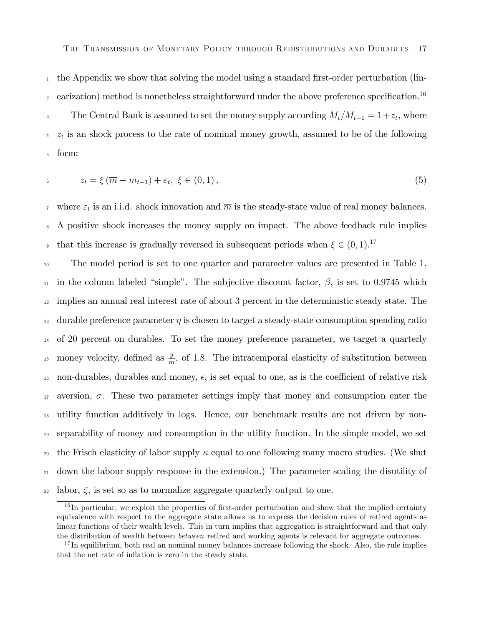<sup>1</sup> the Appendix we show that solving the model using a standard first-order perturbation (linearization) method is nonetheless straightforward under the above preference specification.<sup>16</sup> 2 The Central Bank is assumed to set the money supply according  $M_t/M_{t-1} = 1+z_t$ , where  $\frac{z}{t}$  is an shock process to the rate of nominal money growth, assumed to be of the following <sup>5</sup> form:

$$
\epsilon \qquad z_t = \xi \left( \overline{m} - m_{t-1} \right) + \varepsilon_t, \ \xi \in (0, 1), \tag{5}
$$

where  $\varepsilon_t$  is an i.i.d. shock innovation and  $\overline{m}$  is the steady-state value of real money balances. <sup>8</sup> A positive shock increases the money supply on impact. The above feedback rule implies that this increase is gradually reversed in subsequent periods when  $\xi \in (0, 1).^{17}$ 9

<sup>10</sup> The model period is set to one quarter and parameter values are presented in Table 1,  $_{11}$  in the column labeled "simple". The subjective discount factor,  $\beta$ , is set to 0.9745 which <sup>12</sup> implies an annual real interest rate of about 3 percent in the deterministic steady state. The <sup>13</sup> durable preference parameter  $\eta$  is chosen to target a steady-state consumption spending ratio <sup>14</sup> of 20 percent on durables. To set the money preference parameter, we target a quarterly <sup>15</sup> money velocity, defined as  $\frac{y}{m}$ , of 1.8. The intratemporal elasticity of substitution between 16 non-durables, durables and money,  $\epsilon$ , is set equal to one, as is the coefficient of relative risk  $17$  aversion,  $\sigma$ . These two parameter settings imply that money and consumption enter the <sup>18</sup> utility function additively in logs. Hence, our benchmark results are not driven by non-<sup>19</sup> separability of money and consumption in the utility function. In the simple model, we set 20 the Frisch elasticity of labor supply  $\kappa$  equal to one following many macro studies. (We shut <sup>21</sup> down the labour supply response in the extension.) The parameter scaling the disutility of 22 labor,  $\zeta$ , is set so as to normalize aggregate quarterly output to one.

<sup>&</sup>lt;sup>16</sup>In particular, we exploit the properties of first-order perturbation and show that the implied certainty equivalence with respect to the aggregate state allows us to express the decision rules of retired agents as linear functions of their wealth levels. This in turn implies that aggregation is straightforward and that only the distribution of wealth between between retired and working agents is relevant for aggregate outcomes.

 $17$  In equilibrium, both real an nominal money balances increase following the shock. Also, the rule implies that the net rate of inflation is zero in the steady state.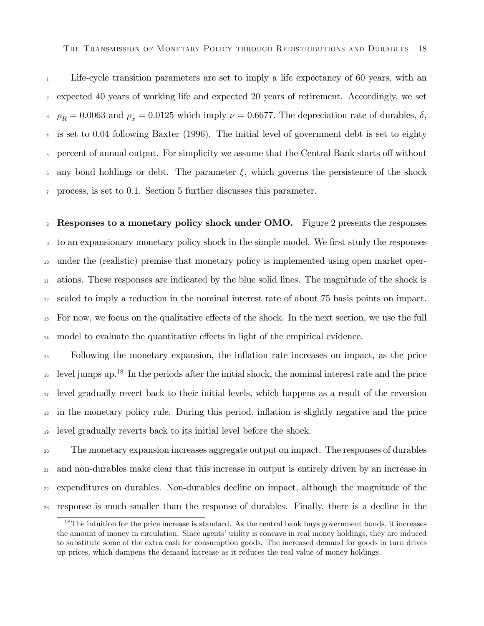<sup>1</sup> Life-cycle transition parameters are set to imply a life expectancy of 60 years, with an <sup>2</sup> expected 40 years of working life and expected 20 years of retirement. Accordingly, we set  $\rho_R = 0.0063$  and  $\rho_x = 0.0125$  which imply  $\nu = 0.6677$ . The depreciation rate of durables,  $\delta$ , <sup>4</sup> is set to 0:04 following Baxter (1996). The initial level of government debt is set to eighty 5 percent of annual output. For simplicity we assume that the Central Bank starts off without  $6\text{ any bond holdings or debt.}$  The parameter  $\xi$ , which governs the persistence of the shock  $\sigma$  process, is set to 0.1. Section 5 further discusses this parameter.

8 Responses to a monetary policy shock under OMO. Figure 2 presents the responses <sup>9</sup> to an expansionary monetary policy shock in the simple model. We Örst study the responses <sup>10</sup> under the (realistic) premise that monetary policy is implemented using open market oper-<sup>11</sup> ations. These responses are indicated by the blue solid lines. The magnitude of the shock is <sup>12</sup> scaled to imply a reduction in the nominal interest rate of about 75 basis points on impact. <sup>13</sup> For now, we focus on the qualitative effects of the shock. In the next section, we use the full  $_{14}$  model to evaluate the quantitative effects in light of the empirical evidence.

 Following the monetary expansion, the ináation rate increases on impact, as the price  $_{16}$  level jumps up.<sup>18</sup> In the periods after the initial shock, the nominal interest rate and the price level gradually revert back to their initial levels, which happens as a result of the reversion in the monetary policy rule. During this period, ináation is slightly negative and the price level gradually reverts back to its initial level before the shock.

 The monetary expansion increases aggregate output on impact. The responses of durables and non-durables make clear that this increase in output is entirely driven by an increase in expenditures on durables. Non-durables decline on impact, although the magnitude of the response is much smaller than the response of durables. Finally, there is a decline in the

<sup>&</sup>lt;sup>18</sup>The intuition for the price increase is standard. As the central bank buys government bonds, it increases the amount of money in circulation. Since agents' utility is concave in real money holdings, they are induced to substitute some of the extra cash for consumption goods. The increased demand for goods in turn drives up prices, which dampens the demand increase as it reduces the real value of money holdings.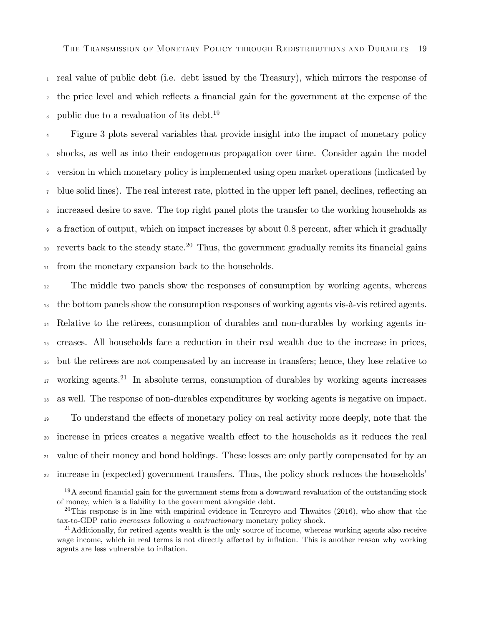<sup>1</sup> real value of public debt (i.e. debt issued by the Treasury), which mirrors the response of <sup>2</sup> the price level and which reflects a financial gain for the government at the expense of the public due to a revaluation of its debt.<sup>19</sup> 3

 Figure 3 plots several variables that provide insight into the impact of monetary policy shocks, as well as into their endogenous propagation over time. Consider again the model version in which monetary policy is implemented using open market operations (indicated by  $_{7}$  blue solid lines). The real interest rate, plotted in the upper left panel, declines, reflecting an increased desire to save. The top right panel plots the transfer to the working households as a fraction of output, which on impact increases by about 0:8 percent, after which it gradually reverts back to the steady state.<sup>20</sup> Thus, the government gradually remits its financial gains from the monetary expansion back to the households.

 The middle two panels show the responses of consumption by working agents, whereas the bottom panels show the consumption responses of working agents vis-‡-vis retired agents. Relative to the retirees, consumption of durables and non-durables by working agents in- creases. All households face a reduction in their real wealth due to the increase in prices, but the retirees are not compensated by an increase in transfers; hence, they lose relative to <sup>17</sup> working agents.<sup>21</sup> In absolute terms, consumption of durables by working agents increases as well. The response of non-durables expenditures by working agents is negative on impact. 19 To understand the effects of monetary policy on real activity more deeply, note that the <sub>20</sub> increase in prices creates a negative wealth effect to the households as it reduces the real value of their money and bond holdings. These losses are only partly compensated for by an  $_{22}$  increase in (expected) government transfers. Thus, the policy shock reduces the households<sup>3</sup>

 $19A$  second financial gain for the government stems from a downward revaluation of the outstanding stock of money, which is a liability to the government alongside debt.

<sup>&</sup>lt;sup>20</sup>This response is in line with empirical evidence in Tenreyro and Thwaites  $(2016)$ , who show that the tax-to-GDP ratio increases following a contractionary monetary policy shock.

 $21$  Additionally, for retired agents wealth is the only source of income, whereas working agents also receive wage income, which in real terms is not directly affected by inflation. This is another reason why working agents are less vulnerable to inflation.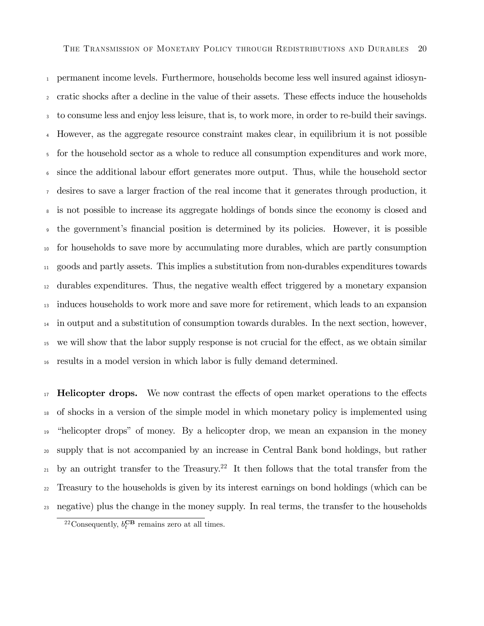permanent income levels. Furthermore, households become less well insured against idiosyn-2 cratic shocks after a decline in the value of their assets. These effects induce the households to consume less and enjoy less leisure, that is, to work more, in order to re-build their savings. However, as the aggregate resource constraint makes clear, in equilibrium it is not possible for the household sector as a whole to reduce all consumption expenditures and work more,  $\epsilon$  since the additional labour effort generates more output. Thus, while the household sector desires to save a larger fraction of the real income that it generates through production, it is not possible to increase its aggregate holdings of bonds since the economy is closed and the governmentís Önancial position is determined by its policies. However, it is possible for households to save more by accumulating more durables, which are partly consumption goods and partly assets. This implies a substitution from non-durables expenditures towards durables expenditures. Thus, the negative wealth effect triggered by a monetary expansion induces households to work more and save more for retirement, which leads to an expansion in output and a substitution of consumption towards durables. In the next section, however, <sup>15</sup> we will show that the labor supply response is not crucial for the effect, as we obtain similar results in a model version in which labor is fully demand determined.

 $_{17}$  **Helicopter drops.** We now contrast the effects of open market operations to the effects of shocks in a version of the simple model in which monetary policy is implemented using "helicopter drops" of money. By a helicopter drop, we mean an expansion in the money supply that is not accompanied by an increase in Central Bank bond holdings, but rather  $_{21}$  by an outright transfer to the Treasury.<sup>22</sup> It then follows that the total transfer from the Treasury to the households is given by its interest earnings on bond holdings (which can be negative) plus the change in the money supply. In real terms, the transfer to the households

<sup>&</sup>lt;sup>22</sup>Consequently,  $b_t^{\text{CB}}$  remains zero at all times.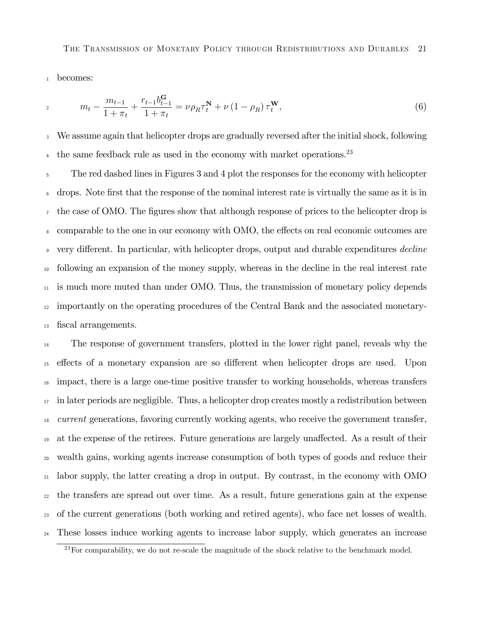The Transmission of Monetary Policy through Redistributions and Durables 21

<sup>1</sup> becomes:

$$
m_{t} - \frac{m_{t-1}}{1 + \pi_{t}} + \frac{r_{t-1}b_{t-1}^{G}}{1 + \pi_{t}} = \nu \rho_{R} \tau_{t}^{N} + \nu (1 - \rho_{R}) \tau_{t}^{W}, \qquad (6)
$$

<sup>3</sup> We assume again that helicopter drops are gradually reversed after the initial shock, following the same feedback rule as used in the economy with market operations.<sup>23</sup> 4

<sup>5</sup> The red dashed lines in Figures 3 and 4 plot the responses for the economy with helicopter  $6<sub>1</sub>$  drops. Note first that the response of the nominal interest rate is virtually the same as it is in  $\tau$  the case of OMO. The figures show that although response of prices to the helicopter drop is 8 comparable to the one in our economy with OMO, the effects on real economic outcomes are 9 very different. In particular, with helicopter drops, output and durable expenditures *decline* <sup>10</sup> following an expansion of the money supply, whereas in the decline in the real interest rate <sup>11</sup> is much more muted than under OMO. Thus, the transmission of monetary policy depends <sup>12</sup> importantly on the operating procedures of the Central Bank and the associated monetary-<sup>13</sup> Öscal arrangements.

 The response of government transfers, plotted in the lower right panel, reveals why the <sup>15</sup> effects of a monetary expansion are so different when helicopter drops are used. Upon impact, there is a large one-time positive transfer to working households, whereas transfers in later periods are negligible. Thus, a helicopter drop creates mostly a redistribution between <sup>18</sup> current generations, favoring currently working agents, who receive the government transfer, 19 at the expense of the retirees. Future generations are largely unaffected. As a result of their wealth gains, working agents increase consumption of both types of goods and reduce their labor supply, the latter creating a drop in output. By contrast, in the economy with OMO the transfers are spread out over time. As a result, future generations gain at the expense of the current generations (both working and retired agents), who face net losses of wealth. These losses induce working agents to increase labor supply, which generates an increase

 $^{23}$ For comparability, we do not re-scale the magnitude of the shock relative to the benchmark model.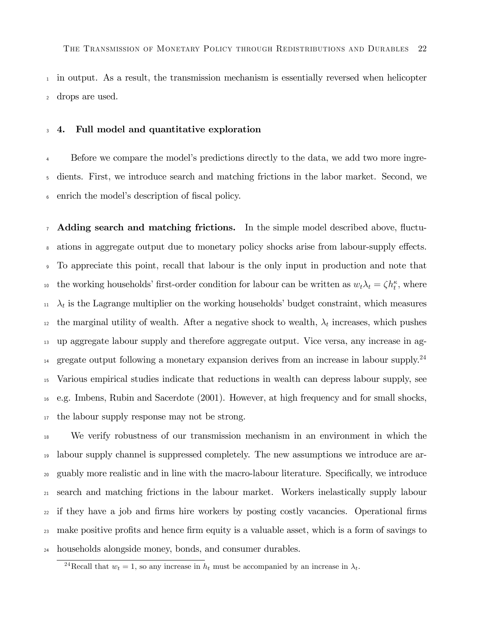<sup>1</sup> in output. As a result, the transmission mechanism is essentially reversed when helicopter <sup>2</sup> drops are used.

#### <sup>3</sup> 4. Full model and quantitative exploration

<sup>4</sup> Before we compare the model's predictions directly to the data, we add two more ingre-<sup>5</sup> dients. First, we introduce search and matching frictions in the labor market. Second, we  $6$  enrich the model's description of fiscal policy.

 $7 \text{ Adding search}$  and matching frictions. In the simple model described above, fluctu-8 ations in aggregate output due to monetary policy shocks arise from labour-supply effects. <sup>9</sup> To appreciate this point, recall that labour is the only input in production and note that the working households' first-order condition for labour can be written as  $w_t \lambda_t = \zeta h_t^{\kappa}$ , where  $\lambda_t$  is the Lagrange multiplier on the working households' budget constraint, which measures <sup>12</sup> the marginal utility of wealth. After a negative shock to wealth,  $\lambda_t$  increases, which pushes <sup>13</sup> up aggregate labour supply and therefore aggregate output. Vice versa, any increase in aggregate output following a monetary expansion derives from an increase in labour supply.<sup>24</sup> 14 <sup>15</sup> Various empirical studies indicate that reductions in wealth can depress labour supply, see <sup>16</sup> e.g. Imbens, Rubin and Sacerdote (2001). However, at high frequency and for small shocks, <sup>17</sup> the labour supply response may not be strong.

 We verify robustness of our transmission mechanism in an environment in which the labour supply channel is suppressed completely. The new assumptions we introduce are ar-<sup>20</sup> guably more realistic and in line with the macro-labour literature. Specifically, we introduce search and matching frictions in the labour market. Workers inelastically supply labour if they have a job and Örms hire workers by posting costly vacancies. Operational Örms <sup>23</sup> make positive profits and hence firm equity is a valuable asset, which is a form of savings to households alongside money, bonds, and consumer durables.

<sup>&</sup>lt;sup>24</sup>Recall that  $w_t = 1$ , so any increase in  $h_t$  must be accompanied by an increase in  $\lambda_t$ .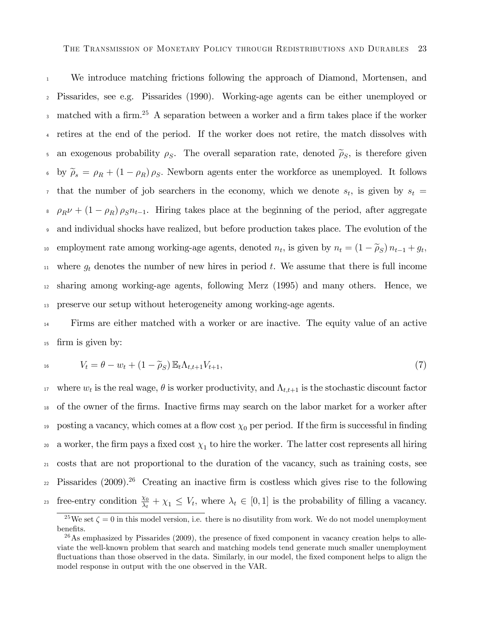<sup>1</sup> We introduce matching frictions following the approach of Diamond, Mortensen, and <sup>2</sup> Pissarides, see e.g. Pissarides (1990). Working-age agents can be either unemployed or <sup>3</sup> matched with a firm.<sup>25</sup> A separation between a worker and a firm takes place if the worker <sup>4</sup> retires at the end of the period. If the worker does not retire, the match dissolves with s an exogenous probability  $\rho_S$ . The overall separation rate, denoted  $\tilde{\rho}_S$ , is therefore given by  $\tilde{\rho}_s = \rho_R + (1 - \rho_R) \rho_S$ . Newborn agents enter the workforce as unemployed. It follows that the number of job searchers in the economy, which we denote  $s_t$ , is given by  $s_t =$  $\rho_R \nu + (1 - \rho_R) \rho_S n_{t-1}$ . Hiring takes place at the beginning of the period, after aggregate <sup>9</sup> and individual shocks have realized, but before production takes place. The evolution of the no employment rate among working-age agents, denoted  $n_t$ , is given by  $n_t = (1 - \tilde{\rho}_S) n_{t-1} + g_t$ , <sup>11</sup> where  $g_t$  denotes the number of new hires in period t. We assume that there is full income <sup>12</sup> sharing among working-age agents, following Merz (1995) and many others. Hence, we <sup>13</sup> preserve our setup without heterogeneity among working-age agents.

<sup>14</sup> Firms are either matched with a worker or are inactive. The equity value of an active <sup>15</sup> Örm is given by:

$$
V_t = \theta - w_t + (1 - \widetilde{\rho}_S) \mathbb{E}_t \Lambda_{t, t+1} V_{t+1},
$$
\n(7)

<sup>17</sup> where  $w_t$  is the real wage,  $\theta$  is worker productivity, and  $\Lambda_{t,t+1}$  is the stochastic discount factor <sup>18</sup> of the owner of the Örms. Inactive Örms may search on the labor market for a worker after 19 posting a vacancy, which comes at a flow cost  $\chi_0$  per period. If the firm is successful in finding 20 a worker, the firm pays a fixed cost  $\chi_1$  to hire the worker. The latter cost represents all hiring <sup>21</sup> costs that are not proportional to the duration of the vacancy, such as training costs, see  $_{22}$  Pissarides (2009).<sup>26</sup> Creating an inactive firm is costless which gives rise to the following tree-entry condition  $\frac{\chi_0}{\lambda_t} + \chi_1 \leq V_t$ , where  $\lambda_t \in [0,1]$  is the probability of filling a vacancy.

<sup>&</sup>lt;sup>25</sup>We set  $\zeta = 0$  in this model version, i.e. there is no disutility from work. We do not model unemployment benefits.

 $^{26}$ As emphasized by Pissarides (2009), the presence of fixed component in vacancy creation helps to alleviate the well-known problem that search and matching models tend generate much smaller unemployment fluctuations than those observed in the data. Similarly, in our model, the fixed component helps to align the model response in output with the one observed in the VAR.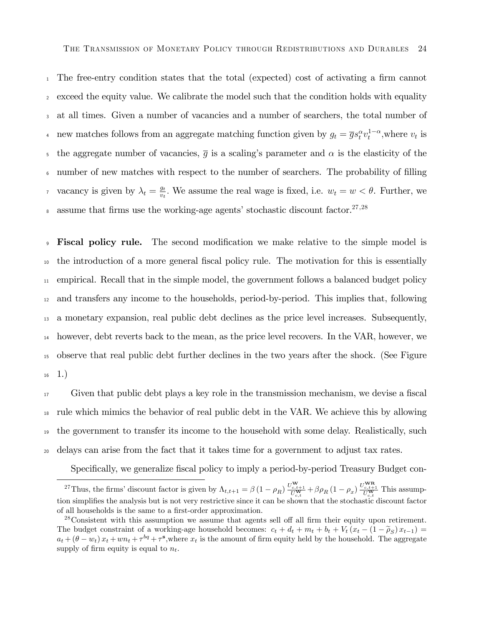<sup>1</sup> The free-entry condition states that the total (expected) cost of activating a Örm cannot <sup>2</sup> exceed the equity value. We calibrate the model such that the condition holds with equality <sup>3</sup> at all times. Given a number of vacancies and a number of searchers, the total number of <sup>4</sup> new matches follows from an aggregate matching function given by  $g_t = \overline{g} s_t^{\alpha} v_t^{1-\alpha}$ , where  $v_t$  is the aggregate number of vacancies,  $\overline{q}$  is a scaling's parameter and  $\alpha$  is the elasticity of the <sup>6</sup> number of new matches with respect to the number of searchers. The probability of Ölling vacancy is given by  $\lambda_t = \frac{g_t}{v_t}$ vacancy is given by  $\lambda_t = \frac{g_t}{v_t}$ . We assume the real wage is fixed, i.e.  $w_t = w < \theta$ . Further, we assume that firms use the working-age agents' stochastic discount factor.<sup>27,28</sup> 8

**Piscal policy rule.** The second modification we make relative to the simple model is the introduction of a more general Öscal policy rule. The motivation for this is essentially empirical. Recall that in the simple model, the government follows a balanced budget policy and transfers any income to the households, period-by-period. This implies that, following a monetary expansion, real public debt declines as the price level increases. Subsequently, however, debt reverts back to the mean, as the price level recovers. In the VAR, however, we observe that real public debt further declines in the two years after the shock. (See Figure  $16 \quad 1.$ 

 Given that public debt plays a key role in the transmission mechanism, we devise a fiscal rule which mimics the behavior of real public debt in the VAR. We achieve this by allowing the government to transfer its income to the household with some delay. Realistically, such delays can arise from the fact that it takes time for a government to adjust tax rates.

Specifically, we generalize fiscal policy to imply a period-by-period Treasury Budget con-

<sup>&</sup>lt;sup>27</sup>Thus, the firms' discount factor is given by  $\Lambda_{t,t+1} = \beta \left(1 - \rho_R\right) \frac{U_{c,t+1}^{W}}{U_{c,t}^{W}}$  $U_{c,t+1}^{\text{W}}$  +  $\beta \rho_R (1 - \rho_x) \frac{U_{c,t+1}^{\text{WR}}}{U_{c,t}^{\text{W}}}$  This assumption simplifies the analysis but is not very restrictive since it can be shown that the stochastic discount factor of all households is the same to a first-order approximation.

 $^{28}$ Consistent with this assumption we assume that agents sell off all firm their equity upon retirement. The budget constraint of a working-age household becomes:  $c_t + d_t + m_t + b_t + V_t (x_t - (1 - \tilde{\rho}_S) x_{t-1}) =$  $a_t + (\theta - w_t)x_t + w_1 + \tau^{bq} + \tau^{s}$ , where  $x_t$  is the amount of firm equity held by the household. The aggregate supply of firm equity is equal to  $n_t$ .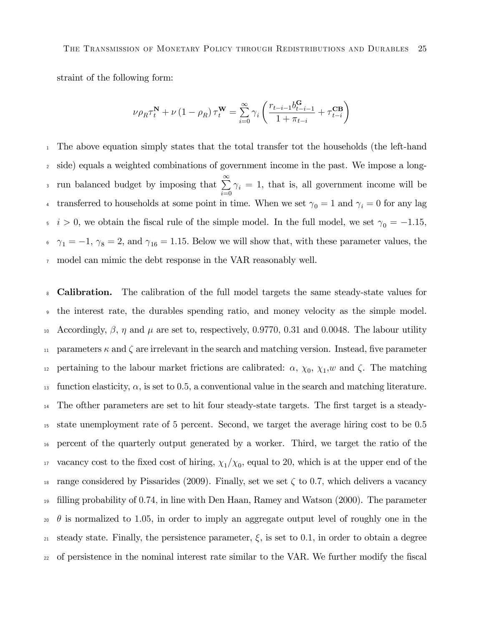straint of the following form:

$$
\nu \rho_R \tau_t^{\mathbf{N}} + \nu \left( 1 - \rho_R \right) \tau_t^{\mathbf{W}} = \sum_{i=0}^{\infty} \gamma_i \left( \frac{r_{t-i-1} b_{t-i-1}^{\mathbf{G}}}{1 + \pi_{t-i}} + \tau_{t-i}^{\mathbf{CB}} \right)
$$

<sup>1</sup> The above equation simply states that the total transfer tot the households (the left-hand <sup>2</sup> side) equals a weighted combinations of government income in the past. We impose a longrun balanced budget by imposing that  $\sum_{n=1}^{\infty}$ <sup>3</sup> run balanced budget by imposing that  $\sum_{i=0} \gamma_i = 1$ , that is, all government income will be <sup>4</sup> transferred to households at some point in time. When we set  $\gamma_0 = 1$  and  $\gamma_i = 0$  for any lag  $i > 0$ , we obtain the fiscal rule of the simple model. In the full model, we set  $\gamma_0 = -1.15$ ,  $\gamma_1 = -1, \gamma_8 = 2$ , and  $\gamma_{16} = 1.15$ . Below we will show that, with these parameter values, the <sup>7</sup> model can mimic the debt response in the VAR reasonably well.

<sup>8</sup> Calibration. The calibration of the full model targets the same steady-state values for <sup>9</sup> the interest rate, the durables spending ratio, and money velocity as the simple model. 10 Accordingly,  $\beta$ ,  $\eta$  and  $\mu$  are set to, respectively, 0.9770, 0.31 and 0.0048. The labour utility 11 parameters  $\kappa$  and  $\zeta$  are irrelevant in the search and matching version. Instead, five parameter 12 pertaining to the labour market frictions are calibrated:  $\alpha$ ,  $\chi_0$ ,  $\chi_1$ , w and  $\zeta$ . The matching 13 function elasticity,  $\alpha$ , is set to 0.5, a conventional value in the search and matching literature. <sup>14</sup> The ofther parameters are set to hit four steady-state targets. The Örst target is a steady-<sup>15</sup> state unemployment rate of 5 percent. Second, we target the average hiring cost to be 0:5 <sup>16</sup> percent of the quarterly output generated by a worker. Third, we target the ratio of the <sup>17</sup> vacancy cost to the fixed cost of hiring,  $\chi_1/\chi_0$ , equal to 20, which is at the upper end of the <sup>18</sup> range considered by Pissarides (2009). Finally, set we set  $\zeta$  to 0.7, which delivers a vacancy <sup>19</sup> Ölling probability of 0:74; in line with Den Haan, Ramey and Watson (2000). The parameter  $\theta$  is normalized to 1.05, in order to imply an aggregate output level of roughly one in the 21 steady state. Finally, the persistence parameter,  $\xi$ , is set to 0.1, in order to obtain a degree <sup>22</sup> of persistence in the nominal interest rate similar to the VAR. We further modify the Öscal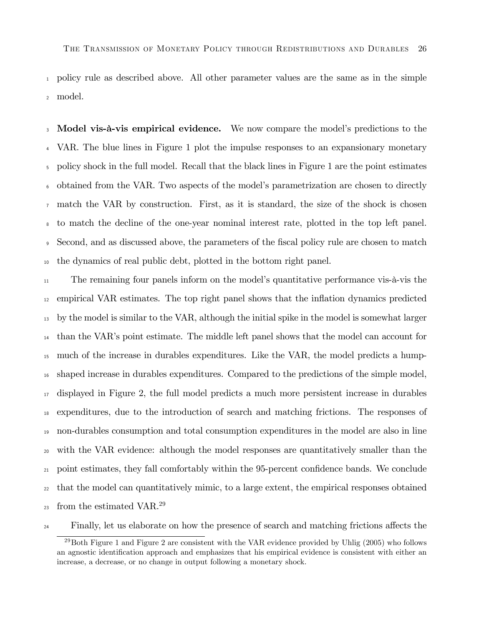policy rule as described above. All other parameter values are the same as in the simple model.

3 Model vis-à-vis empirical evidence. We now compare the model's predictions to the VAR. The blue lines in Figure 1 plot the impulse responses to an expansionary monetary policy shock in the full model. Recall that the black lines in Figure 1 are the point estimates obtained from the VAR. Two aspects of the modelís parametrization are chosen to directly match the VAR by construction. First, as it is standard, the size of the shock is chosen to match the decline of the one-year nominal interest rate, plotted in the top left panel. Second, and as discussed above, the parameters of the Öscal policy rule are chosen to match the dynamics of real public debt, plotted in the bottom right panel.

 The remaining four panels inform on the modelís quantitative performance vis-‡-vis the empirical VAR estimates. The top right panel shows that the ináation dynamics predicted by the model is similar to the VAR, although the initial spike in the model is somewhat larger than the VARís point estimate. The middle left panel shows that the model can account for much of the increase in durables expenditures. Like the VAR, the model predicts a hump- shaped increase in durables expenditures. Compared to the predictions of the simple model, displayed in Figure 2, the full model predicts a much more persistent increase in durables expenditures, due to the introduction of search and matching frictions. The responses of non-durables consumption and total consumption expenditures in the model are also in line with the VAR evidence: although the model responses are quantitatively smaller than the  $_{21}$  point estimates, they fall comfortably within the 95-percent confidence bands. We conclude that the model can quantitatively mimic, to a large extent, the empirical responses obtained from the estimated VAR.<sup>29</sup> 

 $_{24}$  Finally, let us elaborate on how the presence of search and matching frictions affects the

 $^{29}$ Both Figure 1 and Figure 2 are consistent with the VAR evidence provided by Uhlig (2005) who follows an agnostic identification approach and emphasizes that his empirical evidence is consistent with either an increase, a decrease, or no change in output following a monetary shock.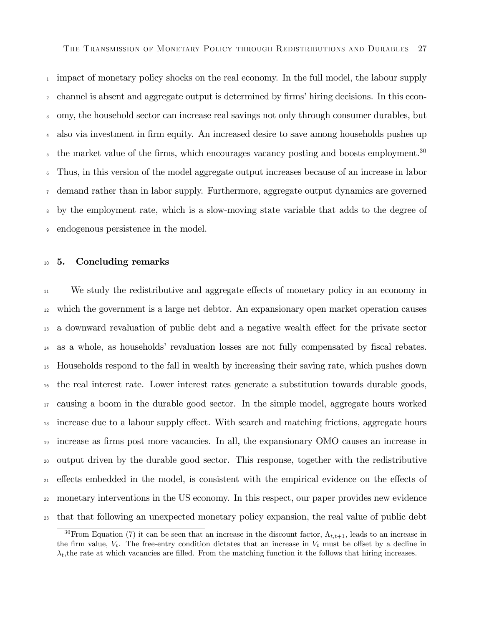<sup>1</sup> impact of monetary policy shocks on the real economy. In the full model, the labour supply <sup>2</sup> channel is absent and aggregate output is determined by firms' hiring decisions. In this econ- omy, the household sector can increase real savings not only through consumer durables, but also via investment in Örm equity. An increased desire to save among households pushes up the market value of the firms, which encourages vacancy posting and boosts employment.<sup>30</sup> Thus, in this version of the model aggregate output increases because of an increase in labor demand rather than in labor supply. Furthermore, aggregate output dynamics are governed by the employment rate, which is a slow-moving state variable that adds to the degree of endogenous persistence in the model.

#### 5. Concluding remarks

 We study the redistributive and aggregate effects of monetary policy in an economy in which the government is a large net debtor. An expansionary open market operation causes <sup>13</sup> a downward revaluation of public debt and a negative wealth effect for the private sector <sup>14</sup> as a whole, as households' revaluation losses are not fully compensated by fiscal rebates. Households respond to the fall in wealth by increasing their saving rate, which pushes down the real interest rate. Lower interest rates generate a substitution towards durable goods, causing a boom in the durable good sector. In the simple model, aggregate hours worked  $_{18}$  increase due to a labour supply effect. With search and matching frictions, aggregate hours increase as Örms post more vacancies. In all, the expansionary OMO causes an increase in output driven by the durable good sector. This response, together with the redistributive  $_{21}$  effects embedded in the model, is consistent with the empirical evidence on the effects of monetary interventions in the US economy. In this respect, our paper provides new evidence that that following an unexpected monetary policy expansion, the real value of public debt

<sup>&</sup>lt;sup>30</sup>From Equation (7) it can be seen that an increase in the discount factor,  $\Lambda_{t,t+1}$ , leads to an increase in the firm value,  $V_t$ . The free-entry condition dictates that an increase in  $V_t$  must be offset by a decline in  $\lambda_t$ , the rate at which vacancies are filled. From the matching function it the follows that hiring increases.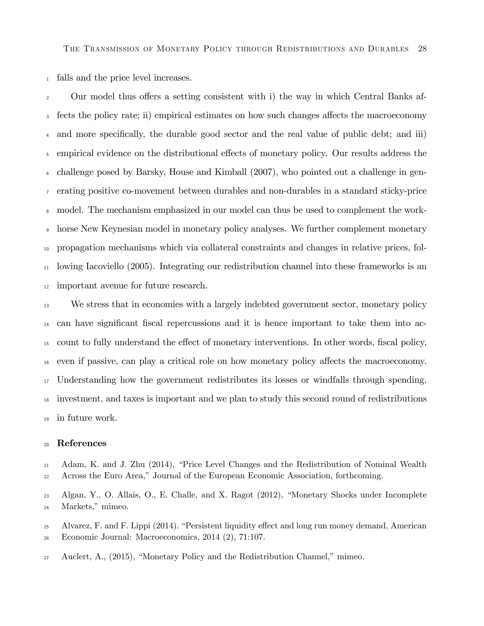<sup>1</sup> falls and the price level increases.

2 Our model thus offers a setting consistent with i) the way in which Central Banks af-<sup>3</sup> fects the policy rate; ii) empirical estimates on how such changes affects the macroeconomy <sup>4</sup> and more specifically, the durable good sector and the real value of public debt; and iii) 5 empirical evidence on the distributional effects of monetary policy. Our results address the challenge posed by Barsky, House and Kimball (2007), who pointed out a challenge in gen- erating positive co-movement between durables and non-durables in a standard sticky-price model. The mechanism emphasized in our model can thus be used to complement the work- horse New Keynesian model in monetary policy analyses. We further complement monetary propagation mechanisms which via collateral constraints and changes in relative prices, fol- lowing Iacoviello (2005). Integrating our redistribution channel into these frameworks is an important avenue for future research.

<sup>13</sup> We stress that in economies with a largely indebted government sector, monetary policy  $_{14}$  can have significant fiscal repercussions and it is hence important to take them into ac-<sup>15</sup> count to fully understand the effect of monetary interventions. In other words, fiscal policy, <sup>16</sup> even if passive, can play a critical role on how monetary policy affects the macroeconomy. <sup>17</sup> Understanding how the government redistributes its losses or windfalls through spending, <sup>18</sup> investment, and taxes is important and we plan to study this second round of redistributions <sup>19</sup> in future work.

#### <sup>20</sup> References

- 21 Adam, K. and J. Zhu (2014), "Price Level Changes and the Redistribution of Nominal Wealth
- <sup>22</sup> Across the Euro Area,î Journal of the European Economic Association, forthcoming.
- 23 Algan, Y., O. Allais, O., E. Challe, and X. Ragot (2012), "Monetary Shocks under Incomplete 24 Markets," mimeo.
- 25 Alvarez, F. and F. Lippi (2014). "Persistent liquidity effect and long run money demand, American <sup>26</sup> Economic Journal: Macroeconomics, 2014 (2), 71:107.
- $27$  Auclert, A., (2015), "Monetary Policy and the Redistribution Channel," mimeo.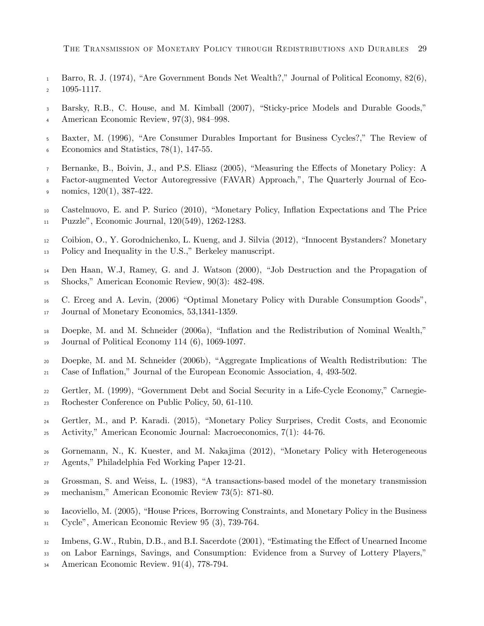- 1 Barro, R. J. (1974), "Are Government Bonds Net Wealth?," Journal of Political Economy, 82(6),  $2 \quad 1095 - 1117.$
- 3 Barsky, R.B., C. House, and M. Kimball (2007), "Sticky-price Models and Durable Goods," 4 American Economic Review,  $97(3)$ ,  $984-998$ .
- 5 Baxter, M. (1996), "Are Consumer Durables Important for Business Cycles?," The Review of <sup>6</sup> Economics and Statistics, 78(1), 147-55.
- <sup>7</sup> Bernanke, B., Boivin, J., and P.S. Eliasz (2005), "Measuring the Effects of Monetary Policy: A
- 8 Factor-augmented Vector Autoregressive (FAVAR) Approach,", The Quarterly Journal of Eco-9 nomics,  $120(1)$ ,  $387-422$ .
- 10 Castelnuovo, E. and P. Surico (2010), "Monetary Policy, Inflation Expectations and The Price <sup>11</sup> Puzzleî, Economic Journal, 120(549), 1262-1283.
- $12$  Coibion, O., Y. Gorodnichenko, L. Kueng, and J. Silvia (2012), "Innocent Bystanders? Monetary 13 Policy and Inequality in the U.S.," Berkeley manuscript.
- <sup>14</sup> Den Haan, W.J, Ramey, G. and J. Watson (2000), "Job Destruction and the Propagation of 15 Shocks," American Economic Review,  $90(3)$ : 482-498.
- 16 C. Erceg and A. Levin, (2006) "Optimal Monetary Policy with Durable Consumption Goods", <sup>17</sup> Journal of Monetary Economics, 53,1341-1359.
- 18 Doepke, M. and M. Schneider (2006a), "Inflation and the Redistribution of Nominal Wealth," <sup>19</sup> Journal of Political Economy 114 (6), 1069-1097.
- <sup>20</sup> Doepke, M. and M. Schneider (2006b), ìAggregate Implications of Wealth Redistribution: The
- <sup>21</sup> Case of Ináation,î Journal of the European Economic Association, 4, 493-502.
- 22 Gertler, M. (1999), "Government Debt and Social Security in a Life-Cycle Economy," Carnegie-<sup>23</sup> Rochester Conference on Public Policy, 50, 61-110.
- 24 Gertler, M., and P. Karadi. (2015), "Monetary Policy Surprises, Credit Costs, and Economic 25 Activity," American Economic Journal: Macroeconomics, 7(1): 44-76.
- 26 Gornemann, N., K. Kuester, and M. Nakajima (2012), "Monetary Policy with Heterogeneous 27 Agents," Philadelphia Fed Working Paper 12-21.
- 28 Grossman, S. and Weiss, L. (1983), "A transactions-based model of the monetary transmission  $29$  mechanism," American Economic Review 73(5): 871-80.
- <sup>30</sup> Iacoviello, M. (2005), "House Prices, Borrowing Constraints, and Monetary Policy in the Business <sup>31</sup> Cycleî, American Economic Review 95 (3), 739-764.
- 32 Imbens, G.W., Rubin, D.B., and B.I. Sacerdote (2001), "Estimating the Effect of Unearned Income
- 33 on Labor Earnings, Savings, and Consumption: Evidence from a Survey of Lottery Players,"
- <sup>34</sup> American Economic Review. 91(4), 778-794.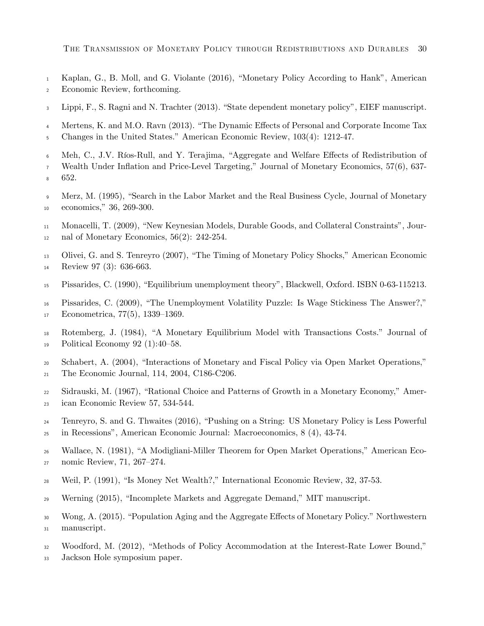- 1 Kaplan, G., B. Moll, and G. Violante (2016), "Monetary Policy According to Hank", American
- <sup>2</sup> Economic Review, forthcoming.
- 3 Lippi, F., S. Ragni and N. Trachter (2013). "State dependent monetary policy", EIEF manuscript.
- 4 Mertens, K. and M.O. Ravn (2013). "The Dynamic Effects of Personal and Corporate Income Tax
- 5 Changes in the United States." American Economic Review, 103(4): 1212-47.
- 6 Meh, C., J.V. Ríos-Rull, and Y. Terajima, "Aggregate and Welfare Effects of Redistribution of
- <sup>7</sup> Wealth Under Ináation and Price-Level Targeting,î Journal of Monetary Economics, 57(6), 637-
- <sup>8</sup> 652.
- 9 Merz, M. (1995), "Search in the Labor Market and the Real Business Cycle, Journal of Monetary 10 economics," 36, 269-300.
- 11 Monacelli, T. (2009), "New Keynesian Models, Durable Goods, and Collateral Constraints", Jour-<sup>12</sup> nal of Monetary Economics, 56(2): 242-254.
- 13 Olivei, G. and S. Tenreyro (2007), "The Timing of Monetary Policy Shocks," American Economic <sup>14</sup> Review 97 (3): 636-663.
- 15 Pissarides, C. (1990), "Equilibrium unemployment theory", Blackwell, Oxford. ISBN 0-63-115213.
- 16 Pissarides, C. (2009), "The Unemployment Volatility Puzzle: Is Wage Stickiness The Answer?,"  $17$  Econometrica,  $77(5)$ ,  $1339-1369$ .
- 18 Rotemberg, J. (1984), "A Monetary Equilibrium Model with Transactions Costs." Journal of 19 Political Economy  $92$  (1):40–58.
- 20 Schabert, A. (2004), "Interactions of Monetary and Fiscal Policy via Open Market Operations," <sup>21</sup> The Economic Journal, 114, 2004, C186-C206.
- $_{22}$  Sidrauski, M. (1967), "Rational Choice and Patterns of Growth in a Monetary Economy," Amer-<sup>23</sup> ican Economic Review 57, 534-544.
- 24 Tenreyro, S. and G. Thwaites (2016), "Pushing on a String: US Monetary Policy is Less Powerful <sup>25</sup> in Recessionsî, American Economic Journal: Macroeconomics, 8 (4), 43-74.
- 26 Wallace, N. (1981), "A Modigliani-Miller Theorem for Open Market Operations," American Eco-27 nomic Review, 71, 267–274.
- 28 Weil, P. (1991), "Is Money Net Wealth?," International Economic Review, 32, 37-53.
- $_{29}$  Werning (2015), "Incomplete Markets and Aggregate Demand," MIT manuscript.
- 30 Wong, A. (2015). "Population Aging and the Aggregate Effects of Monetary Policy." Northwestern <sup>31</sup> manuscript.
- 32 Woodford, M. (2012), "Methods of Policy Accommodation at the Interest-Rate Lower Bound,"
- <sup>33</sup> Jackson Hole symposium paper.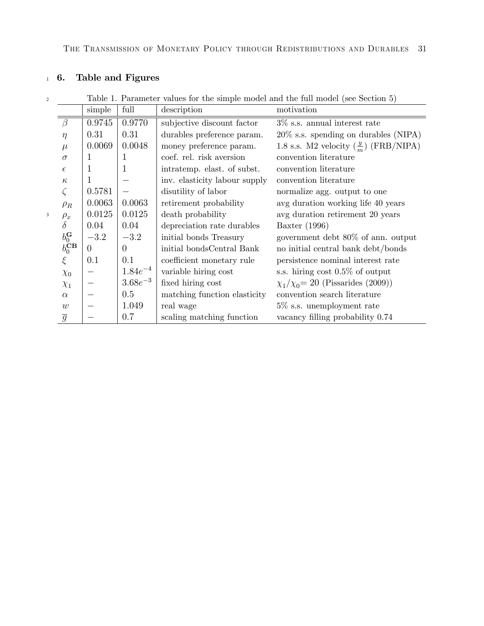| $\overline{2}$ |                                                 |                |              |                               | Table 1. Parameter values for the simple model and the full model (see Section 5) |
|----------------|-------------------------------------------------|----------------|--------------|-------------------------------|-----------------------------------------------------------------------------------|
|                |                                                 | simple         | full         | description                   | motivation                                                                        |
|                | $\beta$                                         | 0.9745         | 0.9770       | subjective discount factor    | $3\%$ s.s. annual interest rate                                                   |
|                | $\eta$                                          | 0.31           | 0.31         | durables preference param.    | $20\%$ s.s. spending on durables (NIPA)                                           |
|                | $\mu$                                           | 0.0069         | 0.0048       | money preference param.       | 1.8 s.s. M2 velocity $(\frac{y}{m})$ (FRB/NIPA)                                   |
|                | $\sigma$                                        | 1              | 1            | coef. rel. risk aversion      | convention literature                                                             |
|                | $\epsilon$                                      | 1              | 1            | intratemp. elast. of subst.   | convention literature                                                             |
|                | $\kappa$                                        | 1              |              | inv. elasticity labour supply | convention literature                                                             |
|                | $\zeta$                                         | 0.5781         |              | disutility of labor           | normalize agg. output to one                                                      |
|                | $\rho_R$                                        | 0.0063         | 0.0063       | retirement probability        | avg duration working life 40 years                                                |
| 3              | $\rho_x$                                        | 0.0125         | 0.0125       | death probability             | avg duration retirement 20 years                                                  |
|                | $\delta$                                        | 0.04           | 0.04         | depreciation rate durables    | Baxter (1996)                                                                     |
|                | $b_0^{\mathbf{G}}\\ b_0^{\mathbf{C}\mathbf{B}}$ | $-3.2$         | $-3.2$       | initial bonds Treasury        | government debt $80\%$ of ann. output                                             |
|                |                                                 | $\overline{0}$ | $\theta$     | initial bondsCentral Bank     | no initial central bank debt/bonds                                                |
|                | $\xi$                                           | 0.1            | 0.1          | coefficient monetary rule     | persistence nominal interest rate                                                 |
|                | $\chi_0$                                        |                | $1.84e^{-4}$ | variable hiring cost          | s.s. hiring cost 0.5% of output                                                   |
|                | $\chi_1$                                        |                | $3.68e^{-3}$ | fixed hiring cost             | $\chi_1/\chi_0 = 20$ (Pissarides (2009))                                          |
|                | $\alpha$                                        |                | 0.5          | matching function elasticity  | convention search literature                                                      |
|                | w                                               |                | 1.049        | real wage                     | $5\%$ s.s. unemployment rate                                                      |
|                | $\overline{g}$                                  |                | 0.7          | scaling matching function     | vacancy filling probability 0.74                                                  |

### <sup>1</sup> 6. Table and Figures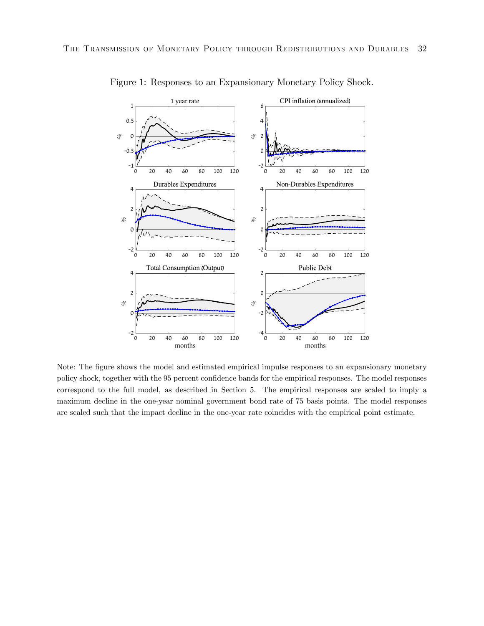

Figure 1: Responses to an Expansionary Monetary Policy Shock.

Note: The figure shows the model and estimated empirical impulse responses to an expansionary monetary policy shock, together with the 95 percent confidence bands for the empirical responses. The model responses correspond to the full model, as described in Section 5. The empirical responses are scaled to imply a maximum decline in the one-year nominal government bond rate of 75 basis points. The model responses are scaled such that the impact decline in the one-year rate coincides with the empirical point estimate.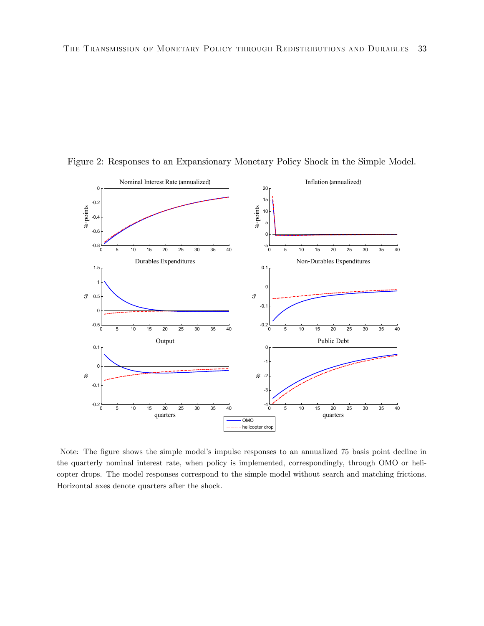

Figure 2: Responses to an Expansionary Monetary Policy Shock in the Simple Model.

Note: The figure shows the simple model's impulse responses to an annualized 75 basis point decline in the quarterly nominal interest rate, when policy is implemented, correspondingly, through OMO or helicopter drops. The model responses correspond to the simple model without search and matching frictions. Horizontal axes denote quarters after the shock.